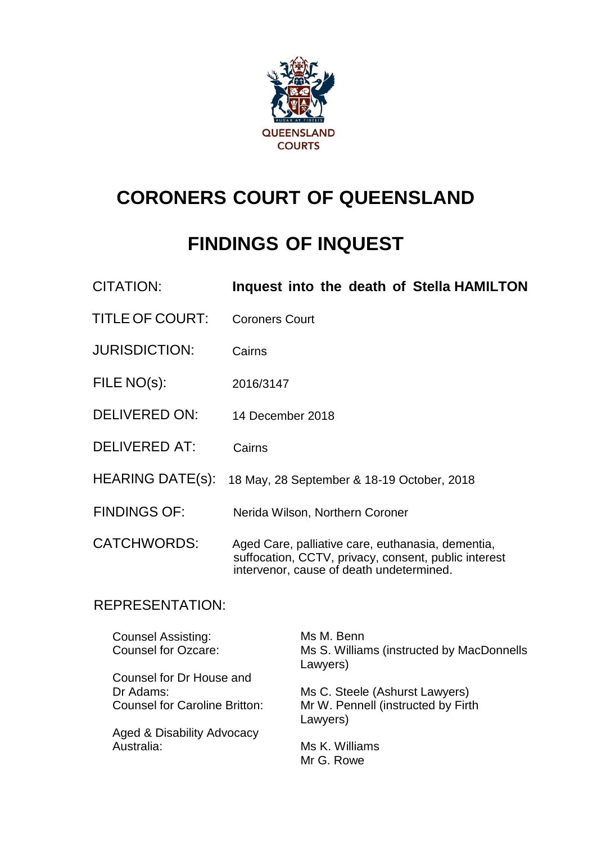

# **CORONERS COURT OF QUEENSLAND**

# **FINDINGS OF INQUEST**

| CITATION:               | Inquest into the death of Stella HAMILTON                                                                                                             |
|-------------------------|-------------------------------------------------------------------------------------------------------------------------------------------------------|
| TITLE OF COURT:         | <b>Coroners Court</b>                                                                                                                                 |
| <b>JURISDICTION:</b>    | Cairns                                                                                                                                                |
| FILE NO(s):             | 2016/3147                                                                                                                                             |
| <b>DELIVERED ON:</b>    | 14 December 2018                                                                                                                                      |
| <b>DELIVERED AT:</b>    | Cairns                                                                                                                                                |
| <b>HEARING DATE(s):</b> | 18 May, 28 September & 18-19 October, 2018                                                                                                            |
| <b>FINDINGS OF:</b>     | Nerida Wilson, Northern Coroner                                                                                                                       |
| <b>CATCHWORDS:</b>      | Aged Care, palliative care, euthanasia, dementia,<br>suffocation, CCTV, privacy, consent, public interest<br>intervenor, cause of death undetermined. |

## REPRESENTATION:

| <b>Counsel Assisting:</b><br><b>Counsel for Ozcare:</b> | Ms M. Benn<br>Ms S. Williams (instructed by MacDonnells<br>Lawyers) |
|---------------------------------------------------------|---------------------------------------------------------------------|
| Counsel for Dr House and                                |                                                                     |
| Dr Adams:                                               | Ms C. Steele (Ashurst Lawyers)                                      |
| <b>Counsel for Caroline Britton:</b>                    | Mr W. Pennell (instructed by Firth<br>Lawyers)                      |
| Aged & Disability Advocacy                              |                                                                     |
| Australia:                                              | Ms K. Williams                                                      |
|                                                         | Mr G. Rowe                                                          |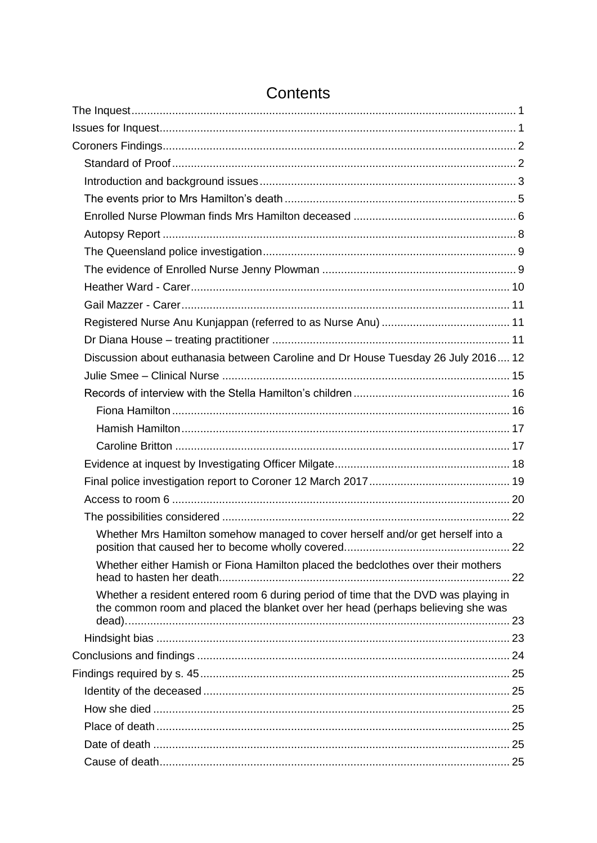| Discussion about euthanasia between Caroline and Dr House Tuesday 26 July 2016 12                                                                                      |  |
|------------------------------------------------------------------------------------------------------------------------------------------------------------------------|--|
|                                                                                                                                                                        |  |
|                                                                                                                                                                        |  |
|                                                                                                                                                                        |  |
|                                                                                                                                                                        |  |
|                                                                                                                                                                        |  |
|                                                                                                                                                                        |  |
|                                                                                                                                                                        |  |
|                                                                                                                                                                        |  |
|                                                                                                                                                                        |  |
| Whether Mrs Hamilton somehow managed to cover herself and/or get herself into a                                                                                        |  |
| Whether either Hamish or Fiona Hamilton placed the bedclothes over their mothers                                                                                       |  |
| Whether a resident entered room 6 during period of time that the DVD was playing in<br>the common room and placed the blanket over her head (perhaps believing she was |  |
|                                                                                                                                                                        |  |
|                                                                                                                                                                        |  |
|                                                                                                                                                                        |  |
|                                                                                                                                                                        |  |
|                                                                                                                                                                        |  |
|                                                                                                                                                                        |  |
|                                                                                                                                                                        |  |
|                                                                                                                                                                        |  |
|                                                                                                                                                                        |  |

## Contents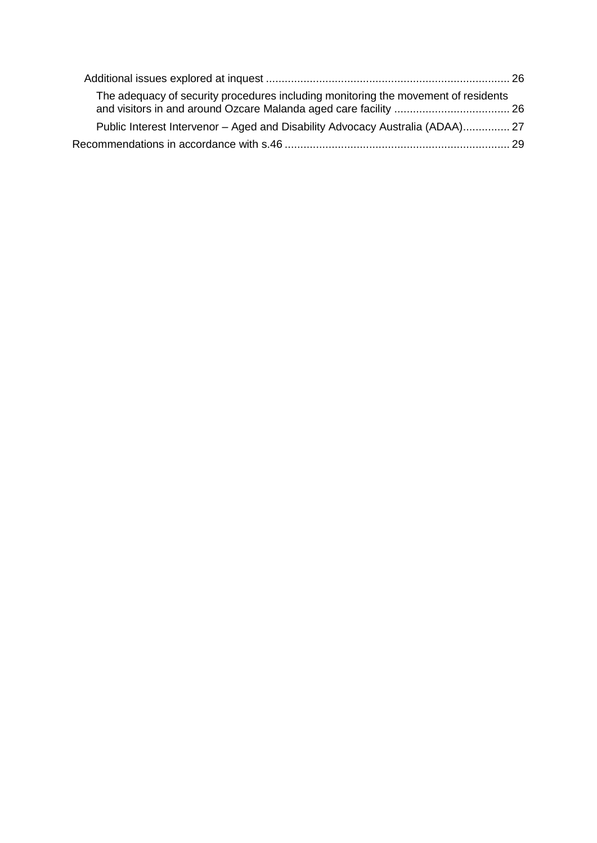| The adequacy of security procedures including monitoring the movement of residents |  |
|------------------------------------------------------------------------------------|--|
| Public Interest Intervenor – Aged and Disability Advocacy Australia (ADAA) 27      |  |
|                                                                                    |  |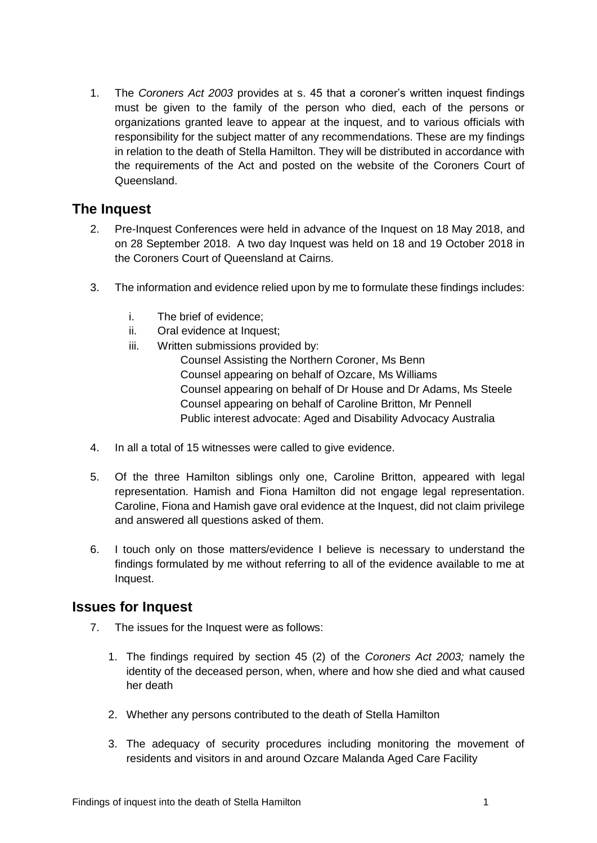1. The *Coroners Act 2003* provides at s. 45 that a coroner's written inquest findings must be given to the family of the person who died, each of the persons or organizations granted leave to appear at the inquest, and to various officials with responsibility for the subject matter of any recommendations. These are my findings in relation to the death of Stella Hamilton. They will be distributed in accordance with the requirements of the Act and posted on the website of the Coroners Court of Queensland.

## <span id="page-3-0"></span>**The Inquest**

- 2. Pre-Inquest Conferences were held in advance of the Inquest on 18 May 2018, and on 28 September 2018. A two day Inquest was held on 18 and 19 October 2018 in the Coroners Court of Queensland at Cairns.
- 3. The information and evidence relied upon by me to formulate these findings includes:
	- i. The brief of evidence;
	- ii. Oral evidence at Inquest;
	- iii. Written submissions provided by:

Counsel Assisting the Northern Coroner, Ms Benn Counsel appearing on behalf of Ozcare, Ms Williams Counsel appearing on behalf of Dr House and Dr Adams, Ms Steele Counsel appearing on behalf of Caroline Britton, Mr Pennell Public interest advocate: Aged and Disability Advocacy Australia

- 4. In all a total of 15 witnesses were called to give evidence.
- 5. Of the three Hamilton siblings only one, Caroline Britton, appeared with legal representation. Hamish and Fiona Hamilton did not engage legal representation. Caroline, Fiona and Hamish gave oral evidence at the Inquest, did not claim privilege and answered all questions asked of them.
- 6. I touch only on those matters/evidence I believe is necessary to understand the findings formulated by me without referring to all of the evidence available to me at Inquest.

## <span id="page-3-1"></span>**Issues for Inquest**

- 7. The issues for the Inquest were as follows:
	- 1. The findings required by section 45 (2) of the *Coroners Act 2003;* namely the identity of the deceased person, when, where and how she died and what caused her death
	- 2. Whether any persons contributed to the death of Stella Hamilton
	- 3. The adequacy of security procedures including monitoring the movement of residents and visitors in and around Ozcare Malanda Aged Care Facility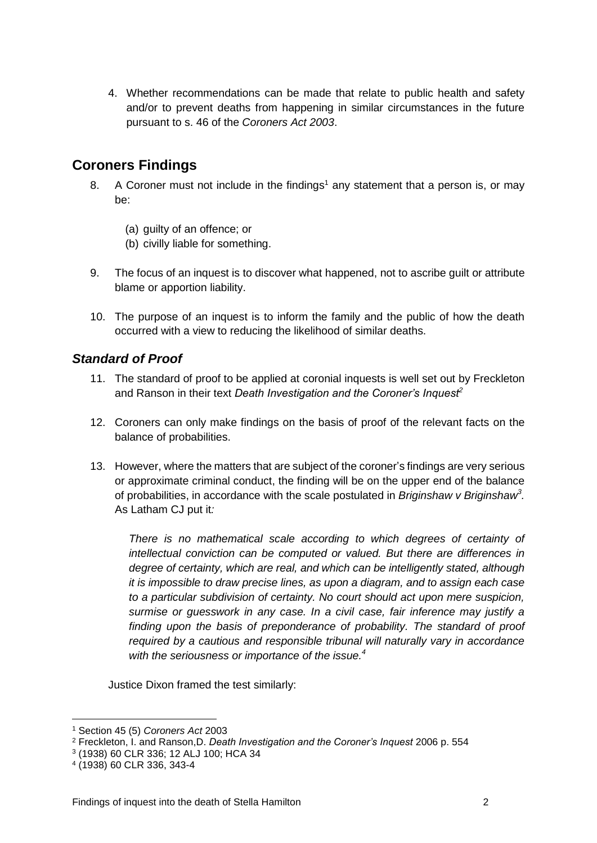4. Whether recommendations can be made that relate to public health and safety and/or to prevent deaths from happening in similar circumstances in the future pursuant to s. 46 of the *Coroners Act 2003*.

## <span id="page-4-0"></span>**Coroners Findings**

- 8. A Coroner must not include in the findings<sup>1</sup> any statement that a person is, or may be:
	- (a) guilty of an offence; or
	- (b) civilly liable for something.
- 9. The focus of an inquest is to discover what happened, not to ascribe guilt or attribute blame or apportion liability.
- 10. The purpose of an inquest is to inform the family and the public of how the death occurred with a view to reducing the likelihood of similar deaths.

## <span id="page-4-1"></span>*Standard of Proof*

- 11. The standard of proof to be applied at coronial inquests is well set out by Freckleton and Ranson in their text *Death Investigation and the Coroner's Inquest<sup>2</sup>*
- 12. Coroners can only make findings on the basis of proof of the relevant facts on the balance of probabilities.
- 13. However, where the matters that are subject of the coroner's findings are very serious or approximate criminal conduct, the finding will be on the upper end of the balance of probabilities, in accordance with the scale postulated in *Briginshaw v Briginshaw<sup>3</sup> .*  As Latham CJ put it*:*

There is no mathematical scale according to which degrees of certainty of *intellectual conviction can be computed or valued. But there are differences in degree of certainty, which are real, and which can be intelligently stated, although it is impossible to draw precise lines, as upon a diagram, and to assign each case to a particular subdivision of certainty. No court should act upon mere suspicion, surmise or guesswork in any case. In a civil case, fair inference may justify a*  finding upon the basis of preponderance of probability. The standard of proof *required by a cautious and responsible tribunal will naturally vary in accordance with the seriousness or importance of the issue.<sup>4</sup>*

Justice Dixon framed the test similarly:

<sup>1</sup> Section 45 (5) *Coroners Act* 2003

<sup>2</sup> Freckleton, I. and Ranson,D. *Death Investigation and the Coroner's Inquest* 2006 p. 554

<sup>3</sup> (1938) 60 CLR 336; 12 ALJ 100; HCA 34

<sup>4</sup> (1938) 60 CLR 336, 343-4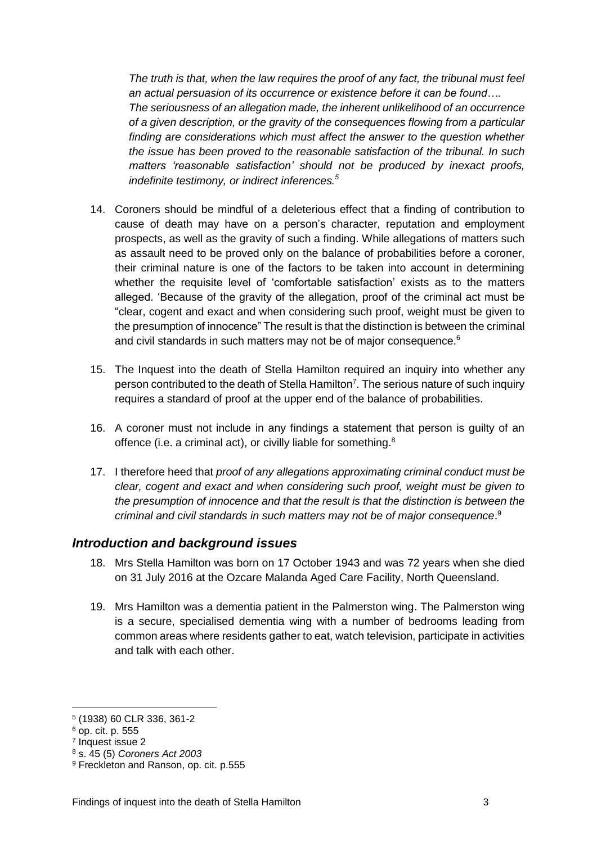*The truth is that, when the law requires the proof of any fact, the tribunal must feel an actual persuasion of its occurrence or existence before it can be found…. The seriousness of an allegation made, the inherent unlikelihood of an occurrence of a given description, or the gravity of the consequences flowing from a particular finding are considerations which must affect the answer to the question whether the issue has been proved to the reasonable satisfaction of the tribunal. In such matters 'reasonable satisfaction' should not be produced by inexact proofs, indefinite testimony, or indirect inferences.<sup>5</sup>*

- 14. Coroners should be mindful of a deleterious effect that a finding of contribution to cause of death may have on a person's character, reputation and employment prospects, as well as the gravity of such a finding. While allegations of matters such as assault need to be proved only on the balance of probabilities before a coroner, their criminal nature is one of the factors to be taken into account in determining whether the requisite level of 'comfortable satisfaction' exists as to the matters alleged. 'Because of the gravity of the allegation, proof of the criminal act must be "clear, cogent and exact and when considering such proof, weight must be given to the presumption of innocence" The result is that the distinction is between the criminal and civil standards in such matters may not be of major consequence.<sup>6</sup>
- 15. The Inquest into the death of Stella Hamilton required an inquiry into whether any person contributed to the death of Stella Hamilton<sup>7</sup>. The serious nature of such inquiry requires a standard of proof at the upper end of the balance of probabilities.
- 16. A coroner must not include in any findings a statement that person is guilty of an offence (i.e. a criminal act), or civilly liable for something.<sup>8</sup>
- 17. I therefore heed that *proof of any allegations approximating criminal conduct must be clear, cogent and exact and when considering such proof, weight must be given to the presumption of innocence and that the result is that the distinction is between the criminal and civil standards in such matters may not be of major consequence*. 9

#### <span id="page-5-0"></span>*Introduction and background issues*

- 18. Mrs Stella Hamilton was born on 17 October 1943 and was 72 years when she died on 31 July 2016 at the Ozcare Malanda Aged Care Facility, North Queensland.
- 19. Mrs Hamilton was a dementia patient in the Palmerston wing. The Palmerston wing is a secure, specialised dementia wing with a number of bedrooms leading from common areas where residents gather to eat, watch television, participate in activities and talk with each other.

<u>.</u>

<sup>5</sup> (1938) 60 CLR 336, 361-2

<sup>6</sup> op. cit. p. 555

<sup>7</sup> Inquest issue 2

<sup>8</sup> s. 45 (5) *Coroners Act 2003*

<sup>9</sup> Freckleton and Ranson, op. cit. p.555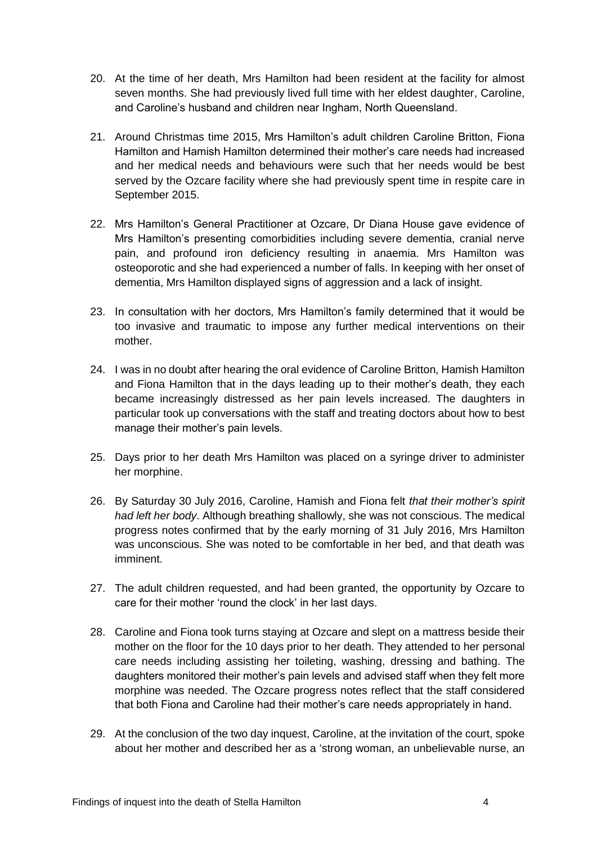- 20. At the time of her death, Mrs Hamilton had been resident at the facility for almost seven months. She had previously lived full time with her eldest daughter, Caroline, and Caroline's husband and children near Ingham, North Queensland.
- 21. Around Christmas time 2015, Mrs Hamilton's adult children Caroline Britton, Fiona Hamilton and Hamish Hamilton determined their mother's care needs had increased and her medical needs and behaviours were such that her needs would be best served by the Ozcare facility where she had previously spent time in respite care in September 2015.
- 22. Mrs Hamilton's General Practitioner at Ozcare, Dr Diana House gave evidence of Mrs Hamilton's presenting comorbidities including severe dementia, cranial nerve pain, and profound iron deficiency resulting in anaemia. Mrs Hamilton was osteoporotic and she had experienced a number of falls. In keeping with her onset of dementia, Mrs Hamilton displayed signs of aggression and a lack of insight.
- 23. In consultation with her doctors, Mrs Hamilton's family determined that it would be too invasive and traumatic to impose any further medical interventions on their mother.
- 24. I was in no doubt after hearing the oral evidence of Caroline Britton, Hamish Hamilton and Fiona Hamilton that in the days leading up to their mother's death, they each became increasingly distressed as her pain levels increased. The daughters in particular took up conversations with the staff and treating doctors about how to best manage their mother's pain levels.
- 25. Days prior to her death Mrs Hamilton was placed on a syringe driver to administer her morphine.
- 26. By Saturday 30 July 2016, Caroline, Hamish and Fiona felt *that their mother's spirit had left her body*. Although breathing shallowly, she was not conscious. The medical progress notes confirmed that by the early morning of 31 July 2016, Mrs Hamilton was unconscious. She was noted to be comfortable in her bed, and that death was imminent.
- 27. The adult children requested, and had been granted, the opportunity by Ozcare to care for their mother 'round the clock' in her last days.
- 28. Caroline and Fiona took turns staying at Ozcare and slept on a mattress beside their mother on the floor for the 10 days prior to her death. They attended to her personal care needs including assisting her toileting, washing, dressing and bathing. The daughters monitored their mother's pain levels and advised staff when they felt more morphine was needed. The Ozcare progress notes reflect that the staff considered that both Fiona and Caroline had their mother's care needs appropriately in hand.
- 29. At the conclusion of the two day inquest, Caroline, at the invitation of the court, spoke about her mother and described her as a 'strong woman, an unbelievable nurse, an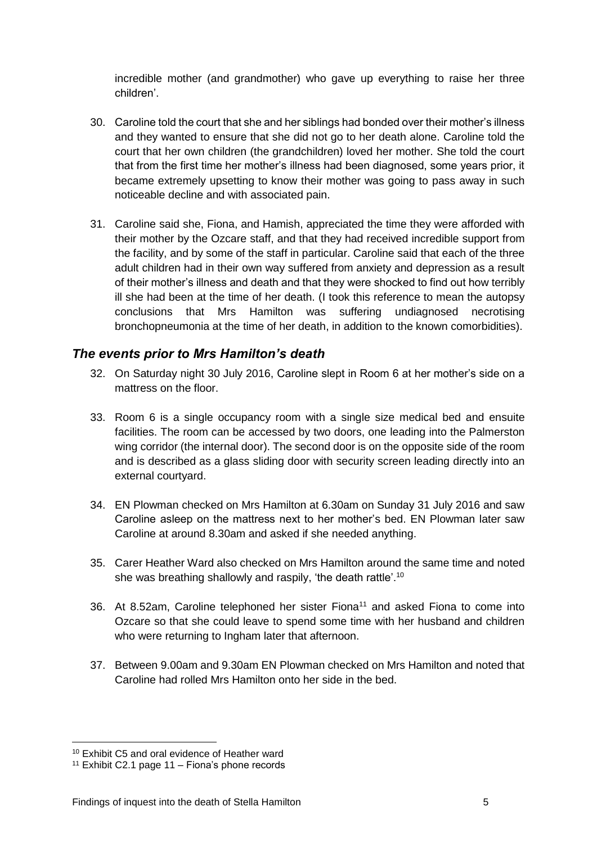incredible mother (and grandmother) who gave up everything to raise her three children'.

- 30. Caroline told the court that she and her siblings had bonded over their mother's illness and they wanted to ensure that she did not go to her death alone. Caroline told the court that her own children (the grandchildren) loved her mother. She told the court that from the first time her mother's illness had been diagnosed, some years prior, it became extremely upsetting to know their mother was going to pass away in such noticeable decline and with associated pain.
- 31. Caroline said she, Fiona, and Hamish, appreciated the time they were afforded with their mother by the Ozcare staff, and that they had received incredible support from the facility, and by some of the staff in particular. Caroline said that each of the three adult children had in their own way suffered from anxiety and depression as a result of their mother's illness and death and that they were shocked to find out how terribly ill she had been at the time of her death. (I took this reference to mean the autopsy conclusions that Mrs Hamilton was suffering undiagnosed necrotising bronchopneumonia at the time of her death, in addition to the known comorbidities).

## <span id="page-7-0"></span>*The events prior to Mrs Hamilton's death*

- 32. On Saturday night 30 July 2016, Caroline slept in Room 6 at her mother's side on a mattress on the floor.
- 33. Room 6 is a single occupancy room with a single size medical bed and ensuite facilities. The room can be accessed by two doors, one leading into the Palmerston wing corridor (the internal door). The second door is on the opposite side of the room and is described as a glass sliding door with security screen leading directly into an external courtyard.
- 34. EN Plowman checked on Mrs Hamilton at 6.30am on Sunday 31 July 2016 and saw Caroline asleep on the mattress next to her mother's bed. EN Plowman later saw Caroline at around 8.30am and asked if she needed anything.
- 35. Carer Heather Ward also checked on Mrs Hamilton around the same time and noted she was breathing shallowly and raspily, 'the death rattle'.<sup>10</sup>
- 36. At 8.52am, Caroline telephoned her sister Fiona<sup>11</sup> and asked Fiona to come into Ozcare so that she could leave to spend some time with her husband and children who were returning to Ingham later that afternoon.
- 37. Between 9.00am and 9.30am EN Plowman checked on Mrs Hamilton and noted that Caroline had rolled Mrs Hamilton onto her side in the bed.

<sup>10</sup> Exhibit C5 and oral evidence of Heather ward

<sup>&</sup>lt;sup>11</sup> Exhibit C2.1 page  $11 -$  Fiona's phone records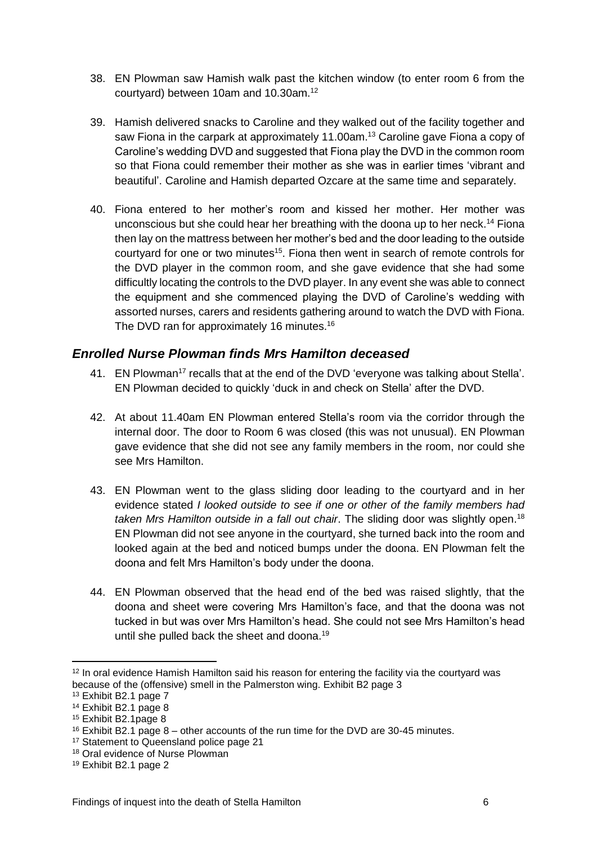- 38. EN Plowman saw Hamish walk past the kitchen window (to enter room 6 from the courtyard) between 10am and 10.30am.<sup>12</sup>
- 39. Hamish delivered snacks to Caroline and they walked out of the facility together and saw Fiona in the carpark at approximately 11.00am.<sup>13</sup> Caroline gave Fiona a copy of Caroline's wedding DVD and suggested that Fiona play the DVD in the common room so that Fiona could remember their mother as she was in earlier times 'vibrant and beautiful'. Caroline and Hamish departed Ozcare at the same time and separately.
- 40. Fiona entered to her mother's room and kissed her mother. Her mother was unconscious but she could hear her breathing with the doona up to her neck.<sup>14</sup> Fiona then lay on the mattress between her mother's bed and the door leading to the outside courtyard for one or two minutes<sup>15</sup>. Fiona then went in search of remote controls for the DVD player in the common room, and she gave evidence that she had some difficultly locating the controls to the DVD player. In any event she was able to connect the equipment and she commenced playing the DVD of Caroline's wedding with assorted nurses, carers and residents gathering around to watch the DVD with Fiona. The DVD ran for approximately 16 minutes.<sup>16</sup>

## <span id="page-8-0"></span>*Enrolled Nurse Plowman finds Mrs Hamilton deceased*

- 41. EN Plowman<sup>17</sup> recalls that at the end of the DVD 'everyone was talking about Stella'. EN Plowman decided to quickly 'duck in and check on Stella' after the DVD.
- 42. At about 11.40am EN Plowman entered Stella's room via the corridor through the internal door. The door to Room 6 was closed (this was not unusual). EN Plowman gave evidence that she did not see any family members in the room, nor could she see Mrs Hamilton.
- 43. EN Plowman went to the glass sliding door leading to the courtyard and in her evidence stated *I looked outside to see if one or other of the family members had taken Mrs Hamilton outside in a fall out chair*. The sliding door was slightly open. 18 EN Plowman did not see anyone in the courtyard, she turned back into the room and looked again at the bed and noticed bumps under the doona. EN Plowman felt the doona and felt Mrs Hamilton's body under the doona.
- 44. EN Plowman observed that the head end of the bed was raised slightly, that the doona and sheet were covering Mrs Hamilton's face, and that the doona was not tucked in but was over Mrs Hamilton's head. She could not see Mrs Hamilton's head until she pulled back the sheet and doona.<sup>19</sup>

<u>.</u>

<sup>&</sup>lt;sup>12</sup> In oral evidence Hamish Hamilton said his reason for entering the facility via the courtyard was because of the (offensive) smell in the Palmerston wing. Exhibit B2 page 3

<sup>13</sup> Exhibit B2.1 page 7

<sup>14</sup> Exhibit B2.1 page 8

<sup>15</sup> Exhibit B2.1page 8

 $16$  Exhibit B2.1 page 8 – other accounts of the run time for the DVD are 30-45 minutes.

<sup>17</sup> Statement to Queensland police page 21

<sup>&</sup>lt;sup>18</sup> Oral evidence of Nurse Plowman

<sup>19</sup> Exhibit B2.1 page 2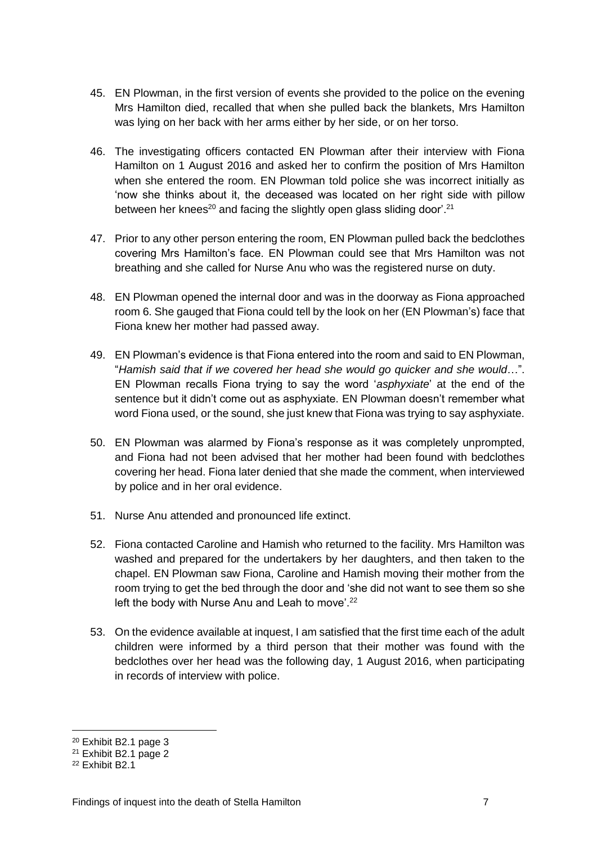- 45. EN Plowman, in the first version of events she provided to the police on the evening Mrs Hamilton died, recalled that when she pulled back the blankets, Mrs Hamilton was lying on her back with her arms either by her side, or on her torso.
- 46. The investigating officers contacted EN Plowman after their interview with Fiona Hamilton on 1 August 2016 and asked her to confirm the position of Mrs Hamilton when she entered the room. EN Plowman told police she was incorrect initially as 'now she thinks about it, the deceased was located on her right side with pillow between her knees<sup>20</sup> and facing the slightly open glass sliding door<sup>'.21</sup>
- 47. Prior to any other person entering the room, EN Plowman pulled back the bedclothes covering Mrs Hamilton's face. EN Plowman could see that Mrs Hamilton was not breathing and she called for Nurse Anu who was the registered nurse on duty.
- 48. EN Plowman opened the internal door and was in the doorway as Fiona approached room 6. She gauged that Fiona could tell by the look on her (EN Plowman's) face that Fiona knew her mother had passed away.
- 49. EN Plowman's evidence is that Fiona entered into the room and said to EN Plowman, "*Hamish said that if we covered her head she would go quicker and she would*…". EN Plowman recalls Fiona trying to say the word '*asphyxiate*' at the end of the sentence but it didn't come out as asphyxiate. EN Plowman doesn't remember what word Fiona used, or the sound, she just knew that Fiona was trying to say asphyxiate.
- 50. EN Plowman was alarmed by Fiona's response as it was completely unprompted, and Fiona had not been advised that her mother had been found with bedclothes covering her head. Fiona later denied that she made the comment, when interviewed by police and in her oral evidence.
- 51. Nurse Anu attended and pronounced life extinct.
- 52. Fiona contacted Caroline and Hamish who returned to the facility. Mrs Hamilton was washed and prepared for the undertakers by her daughters, and then taken to the chapel. EN Plowman saw Fiona, Caroline and Hamish moving their mother from the room trying to get the bed through the door and 'she did not want to see them so she left the body with Nurse Anu and Leah to move'.<sup>22</sup>
- 53. On the evidence available at inquest, I am satisfied that the first time each of the adult children were informed by a third person that their mother was found with the bedclothes over her head was the following day, 1 August 2016, when participating in records of interview with police.

<u>.</u>

<sup>20</sup> Exhibit B2.1 page 3

<sup>21</sup> Exhibit B2.1 page 2

<sup>22</sup> Exhibit B2.1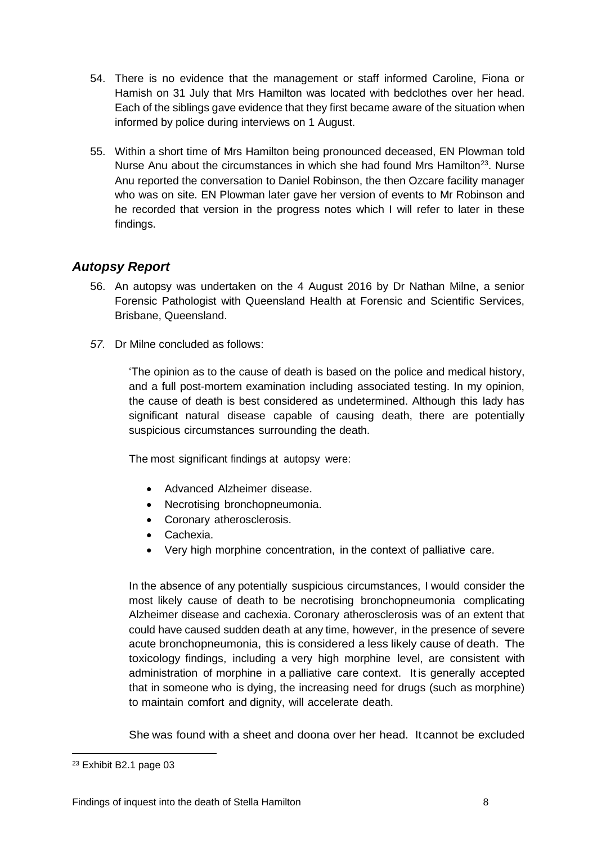- 54. There is no evidence that the management or staff informed Caroline, Fiona or Hamish on 31 July that Mrs Hamilton was located with bedclothes over her head. Each of the siblings gave evidence that they first became aware of the situation when informed by police during interviews on 1 August.
- 55. Within a short time of Mrs Hamilton being pronounced deceased, EN Plowman told Nurse Anu about the circumstances in which she had found Mrs Hamilton<sup>23</sup>. Nurse Anu reported the conversation to Daniel Robinson, the then Ozcare facility manager who was on site. EN Plowman later gave her version of events to Mr Robinson and he recorded that version in the progress notes which I will refer to later in these findings.

## <span id="page-10-0"></span>*Autopsy Report*

- 56. An autopsy was undertaken on the 4 August 2016 by Dr Nathan Milne, a senior Forensic Pathologist with Queensland Health at Forensic and Scientific Services, Brisbane, Queensland.
- *57.* Dr Milne concluded as follows:

'The opinion as to the cause of death is based on the police and medical history, and a full post-mortem examination including associated testing. In my opinion, the cause of death is best considered as undetermined. Although this lady has significant natural disease capable of causing death, there are potentially suspicious circumstances surrounding the death.

The most significant findings at autopsy were:

- Advanced Alzheimer disease.
- Necrotising bronchopneumonia.
- Coronary atherosclerosis.
- Cachexia.
- Very high morphine concentration, in the context of palliative care.

In the absence of any potentially suspicious circumstances, I would consider the most likely cause of death to be necrotising bronchopneumonia complicating Alzheimer disease and cachexia. Coronary atherosclerosis was of an extent that could have caused sudden death at any time, however, in the presence of severe acute bronchopneumonia, this is considered a less likely cause of death. The toxicology findings, including a very high morphine level, are consistent with administration of morphine in a palliative care context. It is generally accepted that in someone who is dying, the increasing need for drugs (such as morphine) to maintain comfort and dignity, will accelerate death.

She was found with a sheet and doona over her head. Itcannot be excluded

<sup>23</sup> Exhibit B2.1 page 03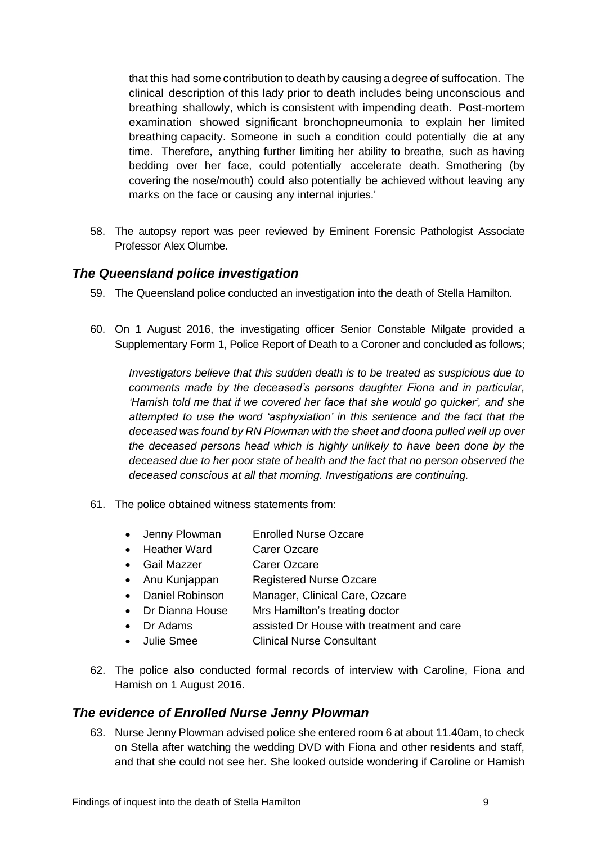that this had some contribution to death by causing adegree of suffocation. The clinical description of this lady prior to death includes being unconscious and breathing shallowly, which is consistent with impending death. Post-mortem examination showed significant bronchopneumonia to explain her limited breathing capacity. Someone in such a condition could potentially die at any time. Therefore, anything further limiting her ability to breathe, such as having bedding over her face, could potentially accelerate death. Smothering (by covering the nose/mouth) could also potentially be achieved without leaving any marks on the face or causing any internal injuries.'

58. The autopsy report was peer reviewed by Eminent Forensic Pathologist Associate Professor Alex Olumbe.

#### <span id="page-11-0"></span>*The Queensland police investigation*

- 59. The Queensland police conducted an investigation into the death of Stella Hamilton.
- 60. On 1 August 2016, the investigating officer Senior Constable Milgate provided a Supplementary Form 1, Police Report of Death to a Coroner and concluded as follows;

*Investigators believe that this sudden death is to be treated as suspicious due to comments made by the deceased's persons daughter Fiona and in particular, 'Hamish told me that if we covered her face that she would go quicker', and she attempted to use the word 'asphyxiation' in this sentence and the fact that the deceased was found by RN Plowman with the sheet and doona pulled well up over the deceased persons head which is highly unlikely to have been done by the deceased due to her poor state of health and the fact that no person observed the deceased conscious at all that morning. Investigations are continuing.* 

- 61. The police obtained witness statements from:
	- Jenny Plowman Enrolled Nurse Ozcare
	- Heather Ward Carer Ozcare
	- Gail Mazzer Carer Ozcare
	- Anu Kunjappan Registered Nurse Ozcare
	- Daniel Robinson Manager, Clinical Care, Ozcare
	- Dr Dianna House Mrs Hamilton's treating doctor
	- Dr Adams assisted Dr House with treatment and care
	- Julie Smee Clinical Nurse Consultant
- 62. The police also conducted formal records of interview with Caroline, Fiona and Hamish on 1 August 2016.

#### <span id="page-11-1"></span>*The evidence of Enrolled Nurse Jenny Plowman*

63. Nurse Jenny Plowman advised police she entered room 6 at about 11.40am, to check on Stella after watching the wedding DVD with Fiona and other residents and staff, and that she could not see her. She looked outside wondering if Caroline or Hamish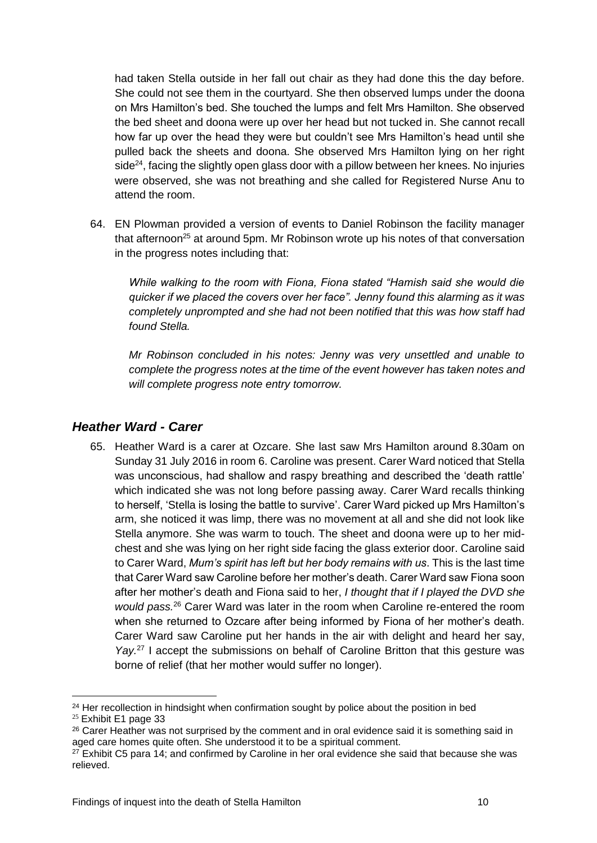had taken Stella outside in her fall out chair as they had done this the day before. She could not see them in the courtyard. She then observed lumps under the doona on Mrs Hamilton's bed. She touched the lumps and felt Mrs Hamilton. She observed the bed sheet and doona were up over her head but not tucked in. She cannot recall how far up over the head they were but couldn't see Mrs Hamilton's head until she pulled back the sheets and doona. She observed Mrs Hamilton lying on her right side $24$ , facing the slightly open glass door with a pillow between her knees. No injuries were observed, she was not breathing and she called for Registered Nurse Anu to attend the room.

64. EN Plowman provided a version of events to Daniel Robinson the facility manager that afternoon<sup>25</sup> at around 5pm. Mr Robinson wrote up his notes of that conversation in the progress notes including that:

*While walking to the room with Fiona, Fiona stated "Hamish said she would die quicker if we placed the covers over her face". Jenny found this alarming as it was completely unprompted and she had not been notified that this was how staff had found Stella.* 

*Mr Robinson concluded in his notes: Jenny was very unsettled and unable to complete the progress notes at the time of the event however has taken notes and will complete progress note entry tomorrow.*

### <span id="page-12-0"></span>*Heather Ward - Carer*

65. Heather Ward is a carer at Ozcare. She last saw Mrs Hamilton around 8.30am on Sunday 31 July 2016 in room 6. Caroline was present. Carer Ward noticed that Stella was unconscious, had shallow and raspy breathing and described the 'death rattle' which indicated she was not long before passing away. Carer Ward recalls thinking to herself, 'Stella is losing the battle to survive'. Carer Ward picked up Mrs Hamilton's arm, she noticed it was limp, there was no movement at all and she did not look like Stella anymore. She was warm to touch. The sheet and doona were up to her midchest and she was lying on her right side facing the glass exterior door. Caroline said to Carer Ward, *Mum's spirit has left but her body remains with us*. This is the last time that Carer Ward saw Caroline before her mother's death. Carer Ward saw Fiona soon after her mother's death and Fiona said to her, *I thought that if I played the DVD she would pass.*<sup>26</sup> Carer Ward was later in the room when Caroline re-entered the room when she returned to Ozcare after being informed by Fiona of her mother's death. Carer Ward saw Caroline put her hands in the air with delight and heard her say, Yay.<sup>27</sup> I accept the submissions on behalf of Caroline Britton that this gesture was borne of relief (that her mother would suffer no longer).

 $24$  Her recollection in hindsight when confirmation sought by police about the position in bed

<sup>25</sup> Exhibit E1 page 33

<sup>&</sup>lt;sup>26</sup> Carer Heather was not surprised by the comment and in oral evidence said it is something said in aged care homes quite often. She understood it to be a spiritual comment.

 $27$  Exhibit C5 para 14; and confirmed by Caroline in her oral evidence she said that because she was relieved.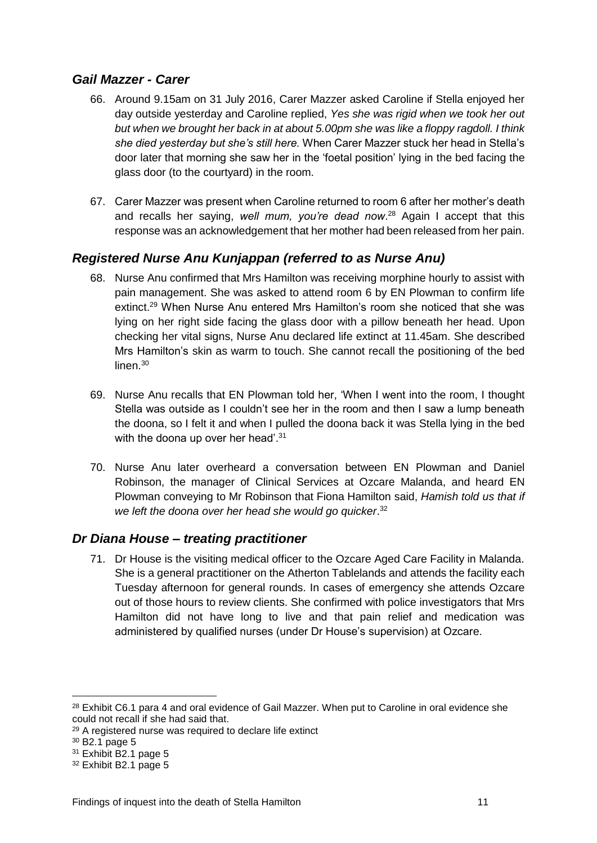## <span id="page-13-0"></span>*Gail Mazzer - Carer*

- 66. Around 9.15am on 31 July 2016, Carer Mazzer asked Caroline if Stella enjoyed her day outside yesterday and Caroline replied, *Yes she was rigid when we took her out but when we brought her back in at about 5.00pm she was like a floppy ragdoll. I think she died yesterday but she's still here.* When Carer Mazzer stuck her head in Stella's door later that morning she saw her in the 'foetal position' lying in the bed facing the glass door (to the courtyard) in the room.
- 67. Carer Mazzer was present when Caroline returned to room 6 after her mother's death and recalls her saying, *well mum, you're dead now*. <sup>28</sup> Again I accept that this response was an acknowledgement that her mother had been released from her pain.

## <span id="page-13-1"></span>*Registered Nurse Anu Kunjappan (referred to as Nurse Anu)*

- 68. Nurse Anu confirmed that Mrs Hamilton was receiving morphine hourly to assist with pain management. She was asked to attend room 6 by EN Plowman to confirm life extinct. <sup>29</sup> When Nurse Anu entered Mrs Hamilton's room she noticed that she was lying on her right side facing the glass door with a pillow beneath her head. Upon checking her vital signs, Nurse Anu declared life extinct at 11.45am. She described Mrs Hamilton's skin as warm to touch. She cannot recall the positioning of the bed linen.<sup>30</sup>
- 69. Nurse Anu recalls that EN Plowman told her, 'When I went into the room, I thought Stella was outside as I couldn't see her in the room and then I saw a lump beneath the doona, so I felt it and when I pulled the doona back it was Stella lying in the bed with the doona up over her head'.<sup>31</sup>
- 70. Nurse Anu later overheard a conversation between EN Plowman and Daniel Robinson, the manager of Clinical Services at Ozcare Malanda, and heard EN Plowman conveying to Mr Robinson that Fiona Hamilton said, *Hamish told us that if we left the doona over her head she would go quicker*. 32

#### <span id="page-13-2"></span>*Dr Diana House – treating practitioner*

71. Dr House is the visiting medical officer to the Ozcare Aged Care Facility in Malanda. She is a general practitioner on the Atherton Tablelands and attends the facility each Tuesday afternoon for general rounds. In cases of emergency she attends Ozcare out of those hours to review clients. She confirmed with police investigators that Mrs Hamilton did not have long to live and that pain relief and medication was administered by qualified nurses (under Dr House's supervision) at Ozcare.

<sup>&</sup>lt;sup>28</sup> Exhibit C6.1 para 4 and oral evidence of Gail Mazzer. When put to Caroline in oral evidence she could not recall if she had said that.

<sup>29</sup> A registered nurse was required to declare life extinct

 $30$  B<sub>2</sub>.1 page 5

<sup>31</sup> Exhibit B2.1 page 5

<sup>32</sup> Exhibit B2.1 page 5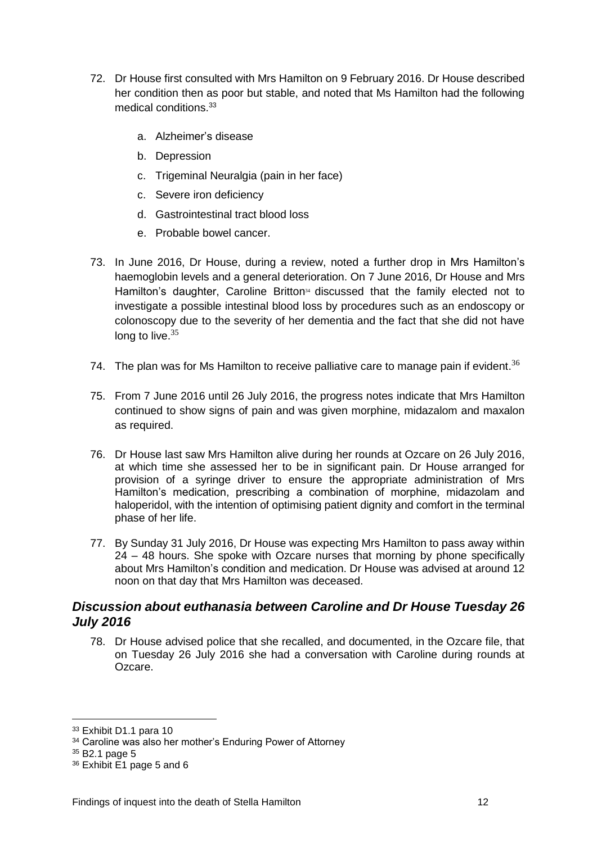- 72. Dr House first consulted with Mrs Hamilton on 9 February 2016. Dr House described her condition then as poor but stable, and noted that Ms Hamilton had the following medical conditions. 33
	- a. Alzheimer's disease
	- b. Depression
	- c. Trigeminal Neuralgia (pain in her face)
	- c. Severe iron deficiency
	- d. Gastrointestinal tract blood loss
	- e. Probable bowel cancer.
- 73. In June 2016, Dr House, during a review, noted a further drop in Mrs Hamilton's haemoglobin levels and a general deterioration. On 7 June 2016, Dr House and Mrs Hamilton's daughter, Caroline Britton<sup>34</sup> discussed that the family elected not to investigate a possible intestinal blood loss by procedures such as an endoscopy or colonoscopy due to the severity of her dementia and the fact that she did not have long to live. $35$
- 74. The plan was for Ms Hamilton to receive palliative care to manage pain if evident.<sup>36</sup>
- 75. From 7 June 2016 until 26 July 2016, the progress notes indicate that Mrs Hamilton continued to show signs of pain and was given morphine, midazalom and maxalon as required.
- 76. Dr House last saw Mrs Hamilton alive during her rounds at Ozcare on 26 July 2016, at which time she assessed her to be in significant pain. Dr House arranged for provision of a syringe driver to ensure the appropriate administration of Mrs Hamilton's medication, prescribing a combination of morphine, midazolam and haloperidol, with the intention of optimising patient dignity and comfort in the terminal phase of her life.
- 77. By Sunday 31 July 2016, Dr House was expecting Mrs Hamilton to pass away within 24 – 48 hours. She spoke with Ozcare nurses that morning by phone specifically about Mrs Hamilton's condition and medication. Dr House was advised at around 12 noon on that day that Mrs Hamilton was deceased.

## <span id="page-14-0"></span>*Discussion about euthanasia between Caroline and Dr House Tuesday 26 July 2016*

78. Dr House advised police that she recalled, and documented, in the Ozcare file, that on Tuesday 26 July 2016 she had a conversation with Caroline during rounds at Ozcare.

<sup>33</sup> Exhibit D1.1 para 10

<sup>34</sup> Caroline was also her mother's Enduring Power of Attorney

 $35$  B<sub>2</sub>.1 page 5

<sup>36</sup> Exhibit E1 page 5 and 6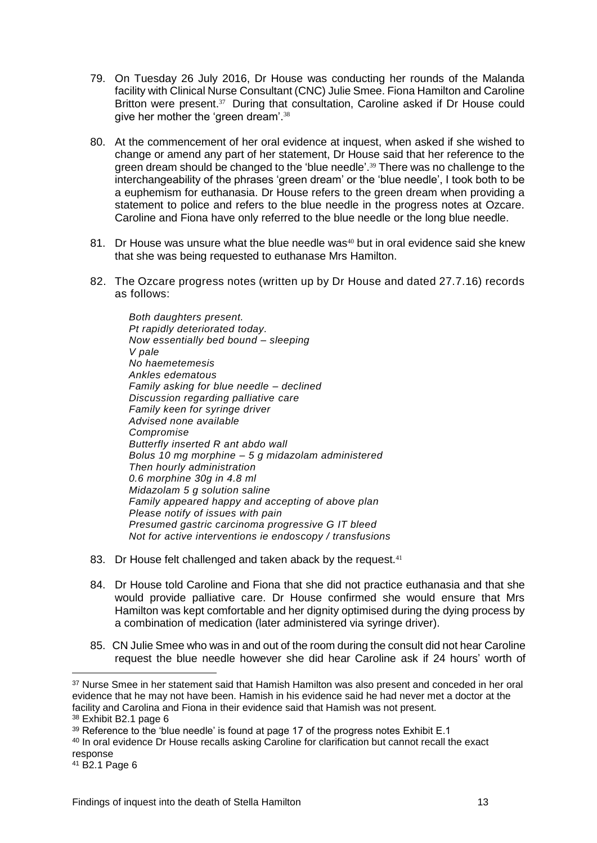- 79. On Tuesday 26 July 2016, Dr House was conducting her rounds of the Malanda facility with Clinical Nurse Consultant (CNC) Julie Smee. Fiona Hamilton and Caroline Britton were present.<sup>37</sup> During that consultation, Caroline asked if Dr House could give her mother the 'green dream'.<sup>38</sup>
- 80. At the commencement of her oral evidence at inquest, when asked if she wished to change or amend any part of her statement, Dr House said that her reference to the green dream should be changed to the 'blue needle'. <sup>39</sup> There was no challenge to the interchangeability of the phrases 'green dream' or the 'blue needle', I took both to be a euphemism for euthanasia. Dr House refers to the green dream when providing a statement to police and refers to the blue needle in the progress notes at Ozcare. Caroline and Fiona have only referred to the blue needle or the long blue needle.
- 81. Dr House was unsure what the blue needle was <sup>40</sup> but in oral evidence said she knew that she was being requested to euthanase Mrs Hamilton.
- 82. The Ozcare progress notes (written up by Dr House and dated 27.7.16) records as follows:

*Both daughters present. Pt rapidly deteriorated today. Now essentially bed bound – sleeping V pale No haemetemesis Ankles edematous Family asking for blue needle – declined Discussion regarding palliative care Family keen for syringe driver Advised none available Compromise Butterfly inserted R ant abdo wall Bolus 10 mg morphine – 5 g midazolam administered Then hourly administration 0.6 morphine 30g in 4.8 ml Midazolam 5 g solution saline Family appeared happy and accepting of above plan Please notify of issues with pain Presumed gastric carcinoma progressive G IT bleed Not for active interventions ie endoscopy / transfusions*

- 83. Dr House felt challenged and taken aback by the request.<sup>41</sup>
- 84. Dr House told Caroline and Fiona that she did not practice euthanasia and that she would provide palliative care. Dr House confirmed she would ensure that Mrs Hamilton was kept comfortable and her dignity optimised during the dying process by a combination of medication (later administered via syringe driver).
- 85. CN Julie Smee who was in and out of the room during the consult did not hear Caroline request the blue needle however she did hear Caroline ask if 24 hours' worth of

<sup>&</sup>lt;sup>37</sup> Nurse Smee in her statement said that Hamish Hamilton was also present and conceded in her oral evidence that he may not have been. Hamish in his evidence said he had never met a doctor at the facility and Carolina and Fiona in their evidence said that Hamish was not present.

<sup>38</sup> Exhibit B2.1 page 6

 $39$  Reference to the 'blue needle' is found at page 17 of the progress notes Exhibit E.1

<sup>40</sup> In oral evidence Dr House recalls asking Caroline for clarification but cannot recall the exact response

<sup>41</sup> B2.1 Page 6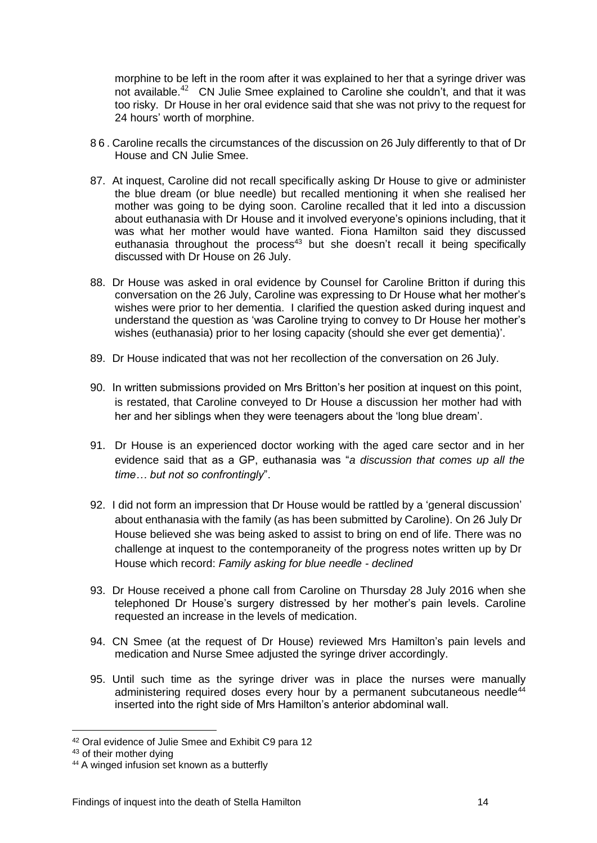morphine to be left in the room after it was explained to her that a syringe driver was not available. $^{42}$  CN Julie Smee explained to Caroline she couldn't, and that it was too risky. Dr House in her oral evidence said that she was not privy to the request for 24 hours' worth of morphine.

- 86. Caroline recalls the circumstances of the discussion on 26 July differently to that of Dr House and CN Julie Smee.
- 87. At inquest, Caroline did not recall specifically asking Dr House to give or administer the blue dream (or blue needle) but recalled mentioning it when she realised her mother was going to be dying soon. Caroline recalled that it led into a discussion about euthanasia with Dr House and it involved everyone's opinions including, that it was what her mother would have wanted. Fiona Hamilton said they discussed euthanasia throughout the process<sup>43</sup> but she doesn't recall it being specifically discussed with Dr House on 26 July.
- 88. Dr House was asked in oral evidence by Counsel for Caroline Britton if during this conversation on the 26 July, Caroline was expressing to Dr House what her mother's wishes were prior to her dementia. I clarified the question asked during inquest and understand the question as 'was Caroline trying to convey to Dr House her mother's wishes (euthanasia) prior to her losing capacity (should she ever get dementia)'.
- 89. Dr House indicated that was not her recollection of the conversation on 26 July.
- 90. In written submissions provided on Mrs Britton's her position at inquest on this point, is restated, that Caroline conveyed to Dr House a discussion her mother had with her and her siblings when they were teenagers about the 'long blue dream'.
- 91. Dr House is an experienced doctor working with the aged care sector and in her evidence said that as a GP, euthanasia was "*a discussion that comes up all the time… but not so confrontingly*".
- 92. I did not form an impression that Dr House would be rattled by a 'general discussion' about enthanasia with the family (as has been submitted by Caroline). On 26 July Dr House believed she was being asked to assist to bring on end of life. There was no challenge at inquest to the contemporaneity of the progress notes written up by Dr House which record: *Family asking for blue needle - declined*
- 93. Dr House received a phone call from Caroline on Thursday 28 July 2016 when she telephoned Dr House's surgery distressed by her mother's pain levels. Caroline requested an increase in the levels of medication.
- 94. CN Smee (at the request of Dr House) reviewed Mrs Hamilton's pain levels and medication and Nurse Smee adjusted the syringe driver accordingly.
- 95. Until such time as the syringe driver was in place the nurses were manually administering required doses every hour by a permanent subcutaneous needle $44$ inserted into the right side of Mrs Hamilton's anterior abdominal wall.

<u>.</u>

<sup>42</sup> Oral evidence of Julie Smee and Exhibit C9 para 12

<sup>43</sup> of their mother dying

<sup>&</sup>lt;sup>44</sup> A winged infusion set known as a butterfly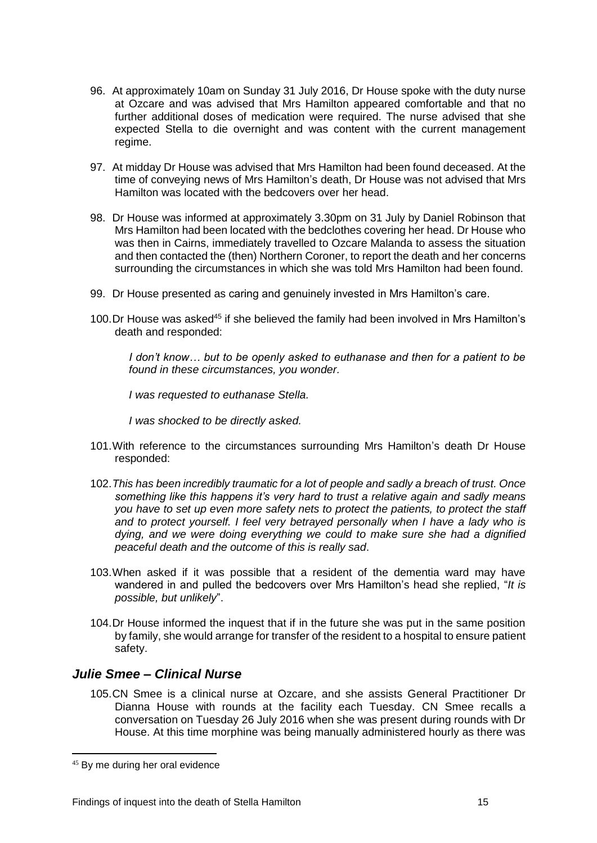- 96. At approximately 10am on Sunday 31 July 2016, Dr House spoke with the duty nurse at Ozcare and was advised that Mrs Hamilton appeared comfortable and that no further additional doses of medication were required. The nurse advised that she expected Stella to die overnight and was content with the current management regime.
- 97. At midday Dr House was advised that Mrs Hamilton had been found deceased. At the time of conveying news of Mrs Hamilton's death, Dr House was not advised that Mrs Hamilton was located with the bedcovers over her head.
- 98. Dr House was informed at approximately 3.30pm on 31 July by Daniel Robinson that Mrs Hamilton had been located with the bedclothes covering her head. Dr House who was then in Cairns, immediately travelled to Ozcare Malanda to assess the situation and then contacted the (then) Northern Coroner, to report the death and her concerns surrounding the circumstances in which she was told Mrs Hamilton had been found.
- 99. Dr House presented as caring and genuinely invested in Mrs Hamilton's care.
- 100.Dr House was asked<sup>45</sup> if she believed the family had been involved in Mrs Hamilton's death and responded:

*I don't know… but to be openly asked to euthanase and then for a patient to be found in these circumstances, you wonder.*

*I was requested to euthanase Stella.*

*I was shocked to be directly asked.*

- 101.With reference to the circumstances surrounding Mrs Hamilton's death Dr House responded:
- 102.*This has been incredibly traumatic for a lot of people and sadly a breach of trust. Once something like this happens it's very hard to trust a relative again and sadly means you have to set up even more safety nets to protect the patients, to protect the staff and to protect yourself. I feel very betrayed personally when I have a lady who is dying, and we were doing everything we could to make sure she had a dignified peaceful death and the outcome of this is really sad*.
- 103.When asked if it was possible that a resident of the dementia ward may have wandered in and pulled the bedcovers over Mrs Hamilton's head she replied, "*It is possible, but unlikely*".
- 104.Dr House informed the inquest that if in the future she was put in the same position by family, she would arrange for transfer of the resident to a hospital to ensure patient safety.

#### <span id="page-17-0"></span>*Julie Smee – Clinical Nurse*

105.CN Smee is a clinical nurse at Ozcare, and she assists General Practitioner Dr Dianna House with rounds at the facility each Tuesday. CN Smee recalls a conversation on Tuesday 26 July 2016 when she was present during rounds with Dr House. At this time morphine was being manually administered hourly as there was

<sup>45</sup> By me during her oral evidence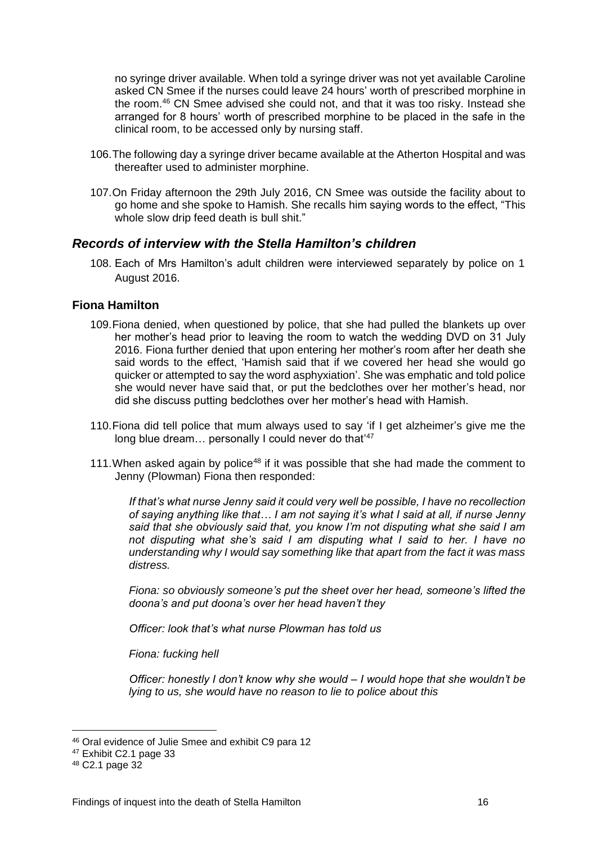no syringe driver available. When told a syringe driver was not yet available Caroline asked CN Smee if the nurses could leave 24 hours' worth of prescribed morphine in the room. <sup>46</sup> CN Smee advised she could not, and that it was too risky. Instead she arranged for 8 hours' worth of prescribed morphine to be placed in the safe in the clinical room, to be accessed only by nursing staff.

- 106.The following day a syringe driver became available at the Atherton Hospital and was thereafter used to administer morphine.
- 107.On Friday afternoon the 29th July 2016, CN Smee was outside the facility about to go home and she spoke to Hamish. She recalls him saying words to the effect, "This whole slow drip feed death is bull shit."

#### <span id="page-18-0"></span>*Records of interview with the Stella Hamilton's children*

108. Each of Mrs Hamilton's adult children were interviewed separately by police on 1 August 2016.

#### <span id="page-18-1"></span>**Fiona Hamilton**

- 109.Fiona denied, when questioned by police, that she had pulled the blankets up over her mother's head prior to leaving the room to watch the wedding DVD on 31 July 2016. Fiona further denied that upon entering her mother's room after her death she said words to the effect, 'Hamish said that if we covered her head she would go quicker or attempted to say the word asphyxiation'. She was emphatic and told police she would never have said that, or put the bedclothes over her mother's head, nor did she discuss putting bedclothes over her mother's head with Hamish.
- 110.Fiona did tell police that mum always used to say 'if I get alzheimer's give me the long blue dream... personally I could never do that<sup>'47</sup>
- 111. When asked again by police<sup>48</sup> if it was possible that she had made the comment to Jenny (Plowman) Fiona then responded:

*If that's what nurse Jenny said it could very well be possible, I have no recollection of saying anything like that… I am not saying it's what I said at all, if nurse Jenny said that she obviously said that, you know I'm not disputing what she said I am not disputing what she's said I am disputing what I said to her. I have no understanding why I would say something like that apart from the fact it was mass distress.*

*Fiona: so obviously someone's put the sheet over her head, someone's lifted the doona's and put doona's over her head haven't they*

*Officer: look that's what nurse Plowman has told us*

*Fiona: fucking hell*

*Officer: honestly I don't know why she would – I would hope that she wouldn't be lying to us, she would have no reason to lie to police about this*

<u>.</u>

<sup>46</sup> Oral evidence of Julie Smee and exhibit C9 para 12

<sup>47</sup> Exhibit C2.1 page 33

<sup>48</sup> C2.1 page 32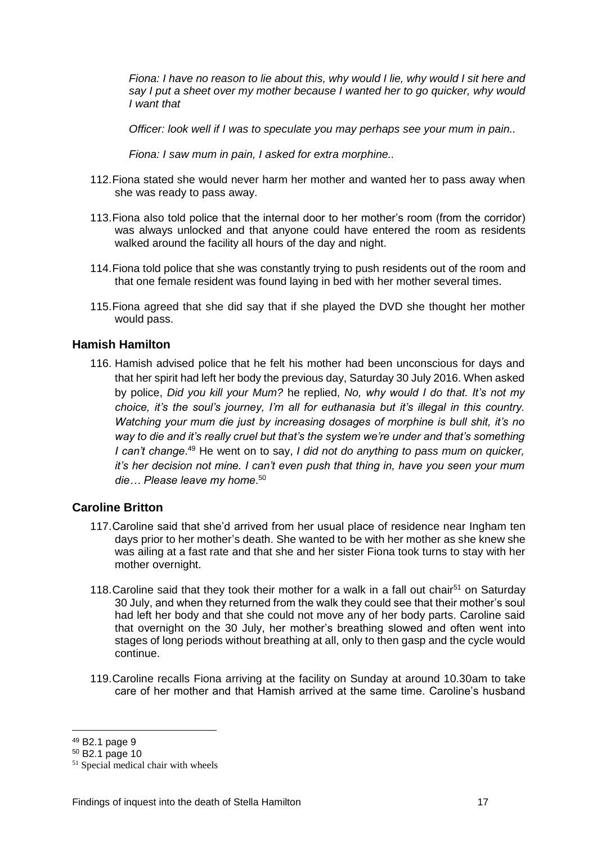*Fiona: I have no reason to lie about this, why would I lie, why would I sit here and say I put a sheet over my mother because I wanted her to go quicker, why would I want that*

*Officer: look well if I was to speculate you may perhaps see your mum in pain..*

*Fiona: I saw mum in pain, I asked for extra morphine..*

- 112.Fiona stated she would never harm her mother and wanted her to pass away when she was ready to pass away.
- 113.Fiona also told police that the internal door to her mother's room (from the corridor) was always unlocked and that anyone could have entered the room as residents walked around the facility all hours of the day and night.
- 114.Fiona told police that she was constantly trying to push residents out of the room and that one female resident was found laying in bed with her mother several times.
- 115.Fiona agreed that she did say that if she played the DVD she thought her mother would pass.

#### <span id="page-19-0"></span>**Hamish Hamilton**

116. Hamish advised police that he felt his mother had been unconscious for days and that her spirit had left her body the previous day, Saturday 30 July 2016. When asked by police, *Did you kill your Mum?* he replied, *No, why would I do that. It's not my choice, it's the soul's journey, I'm all for euthanasia but it's illegal in this country. Watching your mum die just by increasing dosages of morphine is bull shit, it's no way to die and it's really cruel but that's the system we're under and that's something*  I can't change.<sup>49</sup> He went on to say, *I did not do anything to pass mum on quicker, it's her decision not mine. I can't even push that thing in, have you seen your mum die… Please leave my home*. 50

#### <span id="page-19-1"></span>**Caroline Britton**

- 117.Caroline said that she'd arrived from her usual place of residence near Ingham ten days prior to her mother's death. She wanted to be with her mother as she knew she was ailing at a fast rate and that she and her sister Fiona took turns to stay with her mother overnight.
- 118. Caroline said that they took their mother for a walk in a fall out chair<sup>51</sup> on Saturday 30 July, and when they returned from the walk they could see that their mother's soul had left her body and that she could not move any of her body parts. Caroline said that overnight on the 30 July, her mother's breathing slowed and often went into stages of long periods without breathing at all, only to then gasp and the cycle would continue.
- 119.Caroline recalls Fiona arriving at the facility on Sunday at around 10.30am to take care of her mother and that Hamish arrived at the same time. Caroline's husband

<u>.</u>

<sup>49</sup> B2.1 page 9

<sup>50</sup> B2.1 page 10

<sup>51</sup> Special medical chair with wheels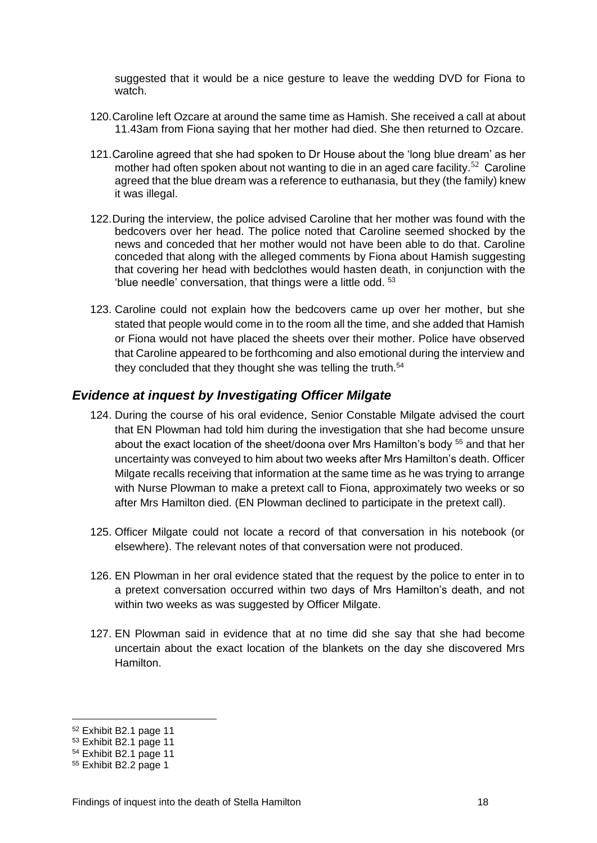suggested that it would be a nice gesture to leave the wedding DVD for Fiona to watch.

- 120.Caroline left Ozcare at around the same time as Hamish. She received a call at about 11.43am from Fiona saying that her mother had died. She then returned to Ozcare.
- 121.Caroline agreed that she had spoken to Dr House about the 'long blue dream' as her mother had often spoken about not wanting to die in an aged care facility.<sup>52</sup> Caroline agreed that the blue dream was a reference to euthanasia, but they (the family) knew it was illegal.
- 122.During the interview, the police advised Caroline that her mother was found with the bedcovers over her head. The police noted that Caroline seemed shocked by the news and conceded that her mother would not have been able to do that. Caroline conceded that along with the alleged comments by Fiona about Hamish suggesting that covering her head with bedclothes would hasten death, in conjunction with the 'blue needle' conversation, that things were a little odd. <sup>53</sup>
- 123. Caroline could not explain how the bedcovers came up over her mother, but she stated that people would come in to the room all the time, and she added that Hamish or Fiona would not have placed the sheets over their mother. Police have observed that Caroline appeared to be forthcoming and also emotional during the interview and they concluded that they thought she was telling the truth.<sup>54</sup>

#### <span id="page-20-0"></span>*Evidence at inquest by Investigating Officer Milgate*

- 124. During the course of his oral evidence, Senior Constable Milgate advised the court that EN Plowman had told him during the investigation that she had become unsure about the exact location of the sheet/doona over Mrs Hamilton's body <sup>55</sup> and that her uncertainty was conveyed to him about two weeks after Mrs Hamilton's death. Officer Milgate recalls receiving that information at the same time as he was trying to arrange with Nurse Plowman to make a pretext call to Fiona, approximately two weeks or so after Mrs Hamilton died. (EN Plowman declined to participate in the pretext call).
- 125. Officer Milgate could not locate a record of that conversation in his notebook (or elsewhere). The relevant notes of that conversation were not produced.
- 126. EN Plowman in her oral evidence stated that the request by the police to enter in to a pretext conversation occurred within two days of Mrs Hamilton's death, and not within two weeks as was suggested by Officer Milgate.
- 127. EN Plowman said in evidence that at no time did she say that she had become uncertain about the exact location of the blankets on the day she discovered Mrs Hamilton.

<sup>52</sup> Exhibit B2.1 page 11

<sup>53</sup> Exhibit B2.1 page 11

<sup>54</sup> Exhibit B2.1 page 11

<sup>55</sup> Exhibit B2.2 page 1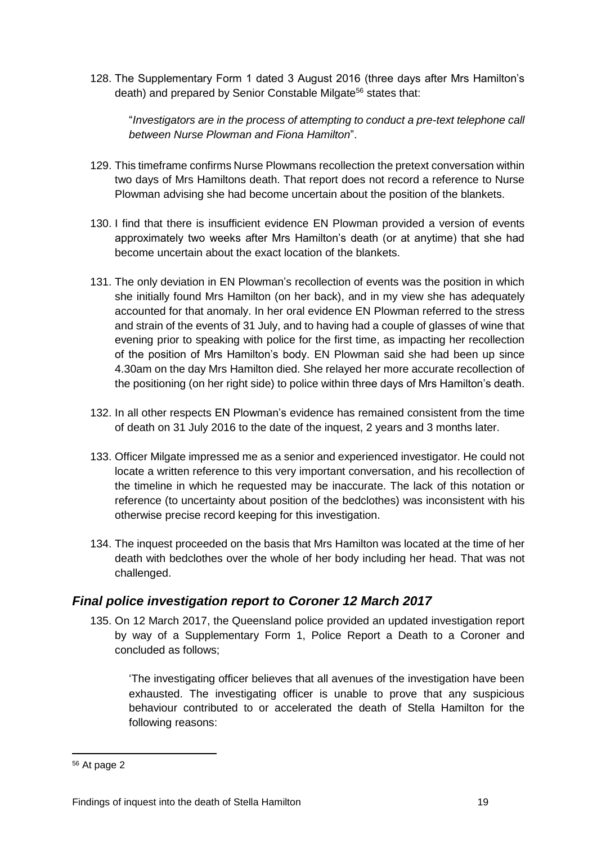128. The Supplementary Form 1 dated 3 August 2016 (three days after Mrs Hamilton's death) and prepared by Senior Constable Milgate<sup>56</sup> states that:

"*Investigators are in the process of attempting to conduct a pre-text telephone call between Nurse Plowman and Fiona Hamilton*".

- 129. This timeframe confirms Nurse Plowmans recollection the pretext conversation within two days of Mrs Hamiltons death. That report does not record a reference to Nurse Plowman advising she had become uncertain about the position of the blankets.
- 130. I find that there is insufficient evidence EN Plowman provided a version of events approximately two weeks after Mrs Hamilton's death (or at anytime) that she had become uncertain about the exact location of the blankets.
- 131. The only deviation in EN Plowman's recollection of events was the position in which she initially found Mrs Hamilton (on her back), and in my view she has adequately accounted for that anomaly. In her oral evidence EN Plowman referred to the stress and strain of the events of 31 July, and to having had a couple of glasses of wine that evening prior to speaking with police for the first time, as impacting her recollection of the position of Mrs Hamilton's body. EN Plowman said she had been up since 4.30am on the day Mrs Hamilton died. She relayed her more accurate recollection of the positioning (on her right side) to police within three days of Mrs Hamilton's death.
- 132. In all other respects EN Plowman's evidence has remained consistent from the time of death on 31 July 2016 to the date of the inquest, 2 years and 3 months later.
- 133. Officer Milgate impressed me as a senior and experienced investigator. He could not locate a written reference to this very important conversation, and his recollection of the timeline in which he requested may be inaccurate. The lack of this notation or reference (to uncertainty about position of the bedclothes) was inconsistent with his otherwise precise record keeping for this investigation.
- 134. The inquest proceeded on the basis that Mrs Hamilton was located at the time of her death with bedclothes over the whole of her body including her head. That was not challenged.

## <span id="page-21-0"></span>*Final police investigation report to Coroner 12 March 2017*

135. On 12 March 2017, the Queensland police provided an updated investigation report by way of a Supplementary Form 1, Police Report a Death to a Coroner and concluded as follows;

'The investigating officer believes that all avenues of the investigation have been exhausted. The investigating officer is unable to prove that any suspicious behaviour contributed to or accelerated the death of Stella Hamilton for the following reasons:

<sup>56</sup> At page 2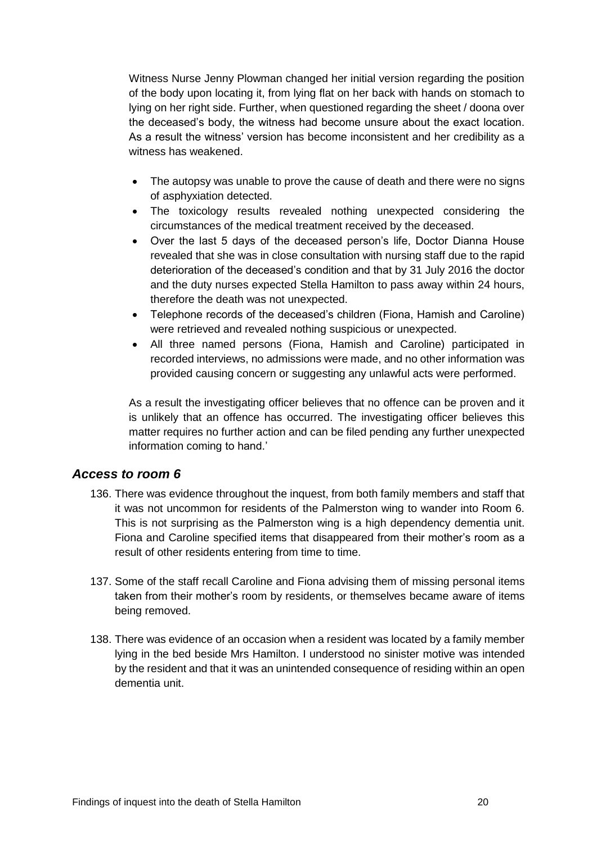Witness Nurse Jenny Plowman changed her initial version regarding the position of the body upon locating it, from lying flat on her back with hands on stomach to lying on her right side. Further, when questioned regarding the sheet / doona over the deceased's body, the witness had become unsure about the exact location. As a result the witness' version has become inconsistent and her credibility as a witness has weakened.

- The autopsy was unable to prove the cause of death and there were no signs of asphyxiation detected.
- The toxicology results revealed nothing unexpected considering the circumstances of the medical treatment received by the deceased.
- Over the last 5 days of the deceased person's life, Doctor Dianna House revealed that she was in close consultation with nursing staff due to the rapid deterioration of the deceased's condition and that by 31 July 2016 the doctor and the duty nurses expected Stella Hamilton to pass away within 24 hours, therefore the death was not unexpected.
- Telephone records of the deceased's children (Fiona, Hamish and Caroline) were retrieved and revealed nothing suspicious or unexpected.
- All three named persons (Fiona, Hamish and Caroline) participated in recorded interviews, no admissions were made, and no other information was provided causing concern or suggesting any unlawful acts were performed.

As a result the investigating officer believes that no offence can be proven and it is unlikely that an offence has occurred. The investigating officer believes this matter requires no further action and can be filed pending any further unexpected information coming to hand.'

#### <span id="page-22-0"></span>*Access to room 6*

- 136. There was evidence throughout the inquest, from both family members and staff that it was not uncommon for residents of the Palmerston wing to wander into Room 6. This is not surprising as the Palmerston wing is a high dependency dementia unit. Fiona and Caroline specified items that disappeared from their mother's room as a result of other residents entering from time to time.
- 137. Some of the staff recall Caroline and Fiona advising them of missing personal items taken from their mother's room by residents, or themselves became aware of items being removed.
- 138. There was evidence of an occasion when a resident was located by a family member lying in the bed beside Mrs Hamilton. I understood no sinister motive was intended by the resident and that it was an unintended consequence of residing within an open dementia unit.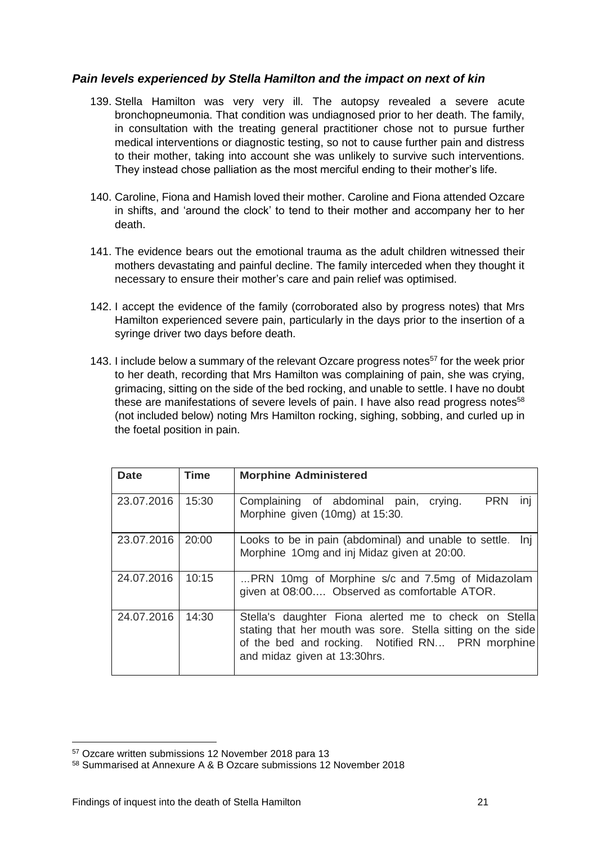#### *Pain levels experienced by Stella Hamilton and the impact on next of kin*

- 139. Stella Hamilton was very very ill. The autopsy revealed a severe acute bronchopneumonia. That condition was undiagnosed prior to her death. The family, in consultation with the treating general practitioner chose not to pursue further medical interventions or diagnostic testing, so not to cause further pain and distress to their mother, taking into account she was unlikely to survive such interventions. They instead chose palliation as the most merciful ending to their mother's life.
- 140. Caroline, Fiona and Hamish loved their mother. Caroline and Fiona attended Ozcare in shifts, and 'around the clock' to tend to their mother and accompany her to her death.
- 141. The evidence bears out the emotional trauma as the adult children witnessed their mothers devastating and painful decline. The family interceded when they thought it necessary to ensure their mother's care and pain relief was optimised.
- 142. I accept the evidence of the family (corroborated also by progress notes) that Mrs Hamilton experienced severe pain, particularly in the days prior to the insertion of a syringe driver two days before death.
- 143. I include below a summary of the relevant Ozcare progress notes<sup>57</sup> for the week prior to her death, recording that Mrs Hamilton was complaining of pain, she was crying, grimacing, sitting on the side of the bed rocking, and unable to settle. I have no doubt these are manifestations of severe levels of pain. I have also read progress notes $58$ (not included below) noting Mrs Hamilton rocking, sighing, sobbing, and curled up in the foetal position in pain.

| <b>Date</b> | Time  | <b>Morphine Administered</b>                                                                                                                                                                             |
|-------------|-------|----------------------------------------------------------------------------------------------------------------------------------------------------------------------------------------------------------|
| 23.07.2016  | 15:30 | <b>PRN</b><br>Complaining of abdominal pain, crying.<br>ini<br>Morphine given (10mg) at 15:30.                                                                                                           |
| 23.07.2016  | 20:00 | Looks to be in pain (abdominal) and unable to settle.<br>Ini<br>Morphine 10mg and inj Midaz given at 20:00.                                                                                              |
| 24.07.2016  | 10:15 | PRN 10mg of Morphine s/c and 7.5mg of Midazolam<br>given at 08:00 Observed as comfortable ATOR.                                                                                                          |
| 24.07.2016  | 14:30 | Stella's daughter Fiona alerted me to check on Stella<br>stating that her mouth was sore. Stella sitting on the side<br>of the bed and rocking. Notified RN PRN morphine<br>and midaz given at 13:30hrs. |

<sup>57</sup> Ozcare written submissions 12 November 2018 para 13

<sup>58</sup> Summarised at Annexure A & B Ozcare submissions 12 November 2018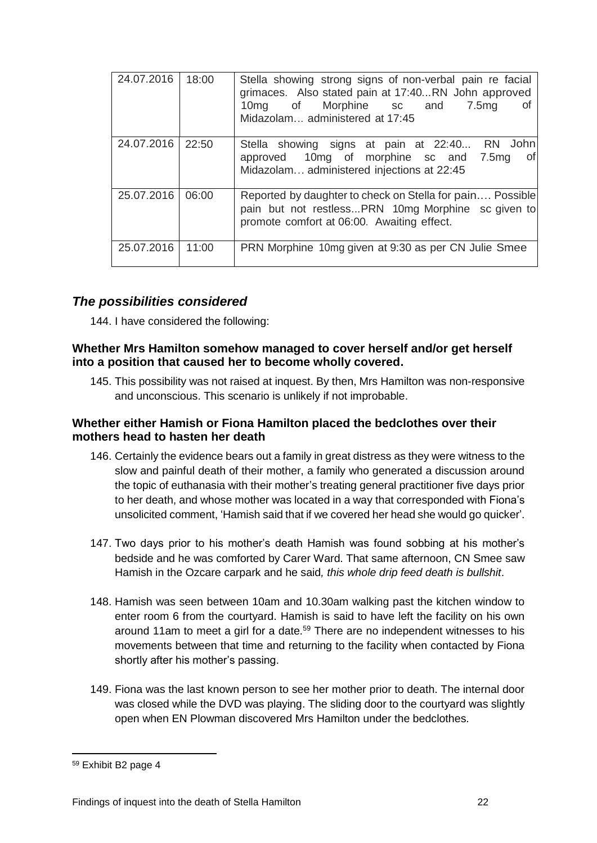| 24.07.2016 | 18:00 | Stella showing strong signs of non-verbal pain re facial<br>grimaces. Also stated pain at 17:40RN John approved<br>10mg of Morphine sc and<br>7.5mg<br>οf<br>Midazolam administered at 17:45 |
|------------|-------|----------------------------------------------------------------------------------------------------------------------------------------------------------------------------------------------|
| 24.07.2016 | 22:50 | Stella showing signs at pain at 22:40 RN John<br>approved 10mg of morphine sc and 7.5mg<br>0f<br>Midazolam administered injections at 22:45                                                  |
| 25.07.2016 | 06:00 | Reported by daughter to check on Stella for pain Possible<br>pain but not restless PRN 10mg Morphine sc given to<br>promote comfort at 06:00. Awaiting effect.                               |
| 25.07.2016 | 11:00 | PRN Morphine 10mg given at 9:30 as per CN Julie Smee                                                                                                                                         |

## <span id="page-24-0"></span>*The possibilities considered*

144. I have considered the following:

#### <span id="page-24-1"></span>**Whether Mrs Hamilton somehow managed to cover herself and/or get herself into a position that caused her to become wholly covered.**

145. This possibility was not raised at inquest. By then, Mrs Hamilton was non-responsive and unconscious. This scenario is unlikely if not improbable.

#### <span id="page-24-2"></span>**Whether either Hamish or Fiona Hamilton placed the bedclothes over their mothers head to hasten her death**

- 146. Certainly the evidence bears out a family in great distress as they were witness to the slow and painful death of their mother, a family who generated a discussion around the topic of euthanasia with their mother's treating general practitioner five days prior to her death, and whose mother was located in a way that corresponded with Fiona's unsolicited comment, 'Hamish said that if we covered her head she would go quicker'.
- 147. Two days prior to his mother's death Hamish was found sobbing at his mother's bedside and he was comforted by Carer Ward. That same afternoon, CN Smee saw Hamish in the Ozcare carpark and he said*, this whole drip feed death is bullshit*.
- 148. Hamish was seen between 10am and 10.30am walking past the kitchen window to enter room 6 from the courtyard. Hamish is said to have left the facility on his own around 11am to meet a girl for a date.<sup>59</sup> There are no independent witnesses to his movements between that time and returning to the facility when contacted by Fiona shortly after his mother's passing.
- 149. Fiona was the last known person to see her mother prior to death. The internal door was closed while the DVD was playing. The sliding door to the courtyard was slightly open when EN Plowman discovered Mrs Hamilton under the bedclothes.

<sup>59</sup> Exhibit B2 page 4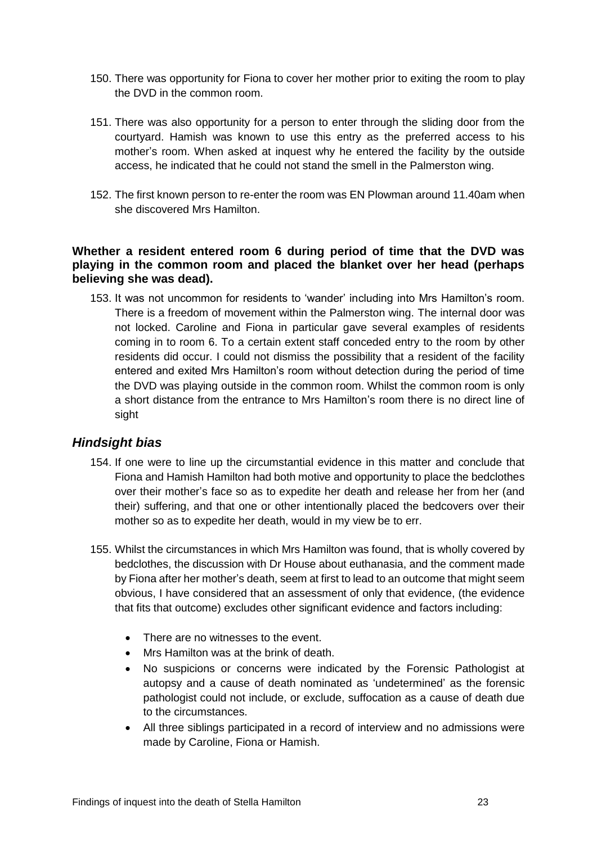- 150. There was opportunity for Fiona to cover her mother prior to exiting the room to play the DVD in the common room.
- 151. There was also opportunity for a person to enter through the sliding door from the courtyard. Hamish was known to use this entry as the preferred access to his mother's room. When asked at inquest why he entered the facility by the outside access, he indicated that he could not stand the smell in the Palmerston wing.
- 152. The first known person to re-enter the room was EN Plowman around 11.40am when she discovered Mrs Hamilton.

#### <span id="page-25-0"></span>**Whether a resident entered room 6 during period of time that the DVD was playing in the common room and placed the blanket over her head (perhaps believing she was dead).**

153. It was not uncommon for residents to 'wander' including into Mrs Hamilton's room. There is a freedom of movement within the Palmerston wing. The internal door was not locked. Caroline and Fiona in particular gave several examples of residents coming in to room 6. To a certain extent staff conceded entry to the room by other residents did occur. I could not dismiss the possibility that a resident of the facility entered and exited Mrs Hamilton's room without detection during the period of time the DVD was playing outside in the common room. Whilst the common room is only a short distance from the entrance to Mrs Hamilton's room there is no direct line of sight

## <span id="page-25-1"></span>*Hindsight bias*

- 154. If one were to line up the circumstantial evidence in this matter and conclude that Fiona and Hamish Hamilton had both motive and opportunity to place the bedclothes over their mother's face so as to expedite her death and release her from her (and their) suffering, and that one or other intentionally placed the bedcovers over their mother so as to expedite her death, would in my view be to err.
- 155. Whilst the circumstances in which Mrs Hamilton was found, that is wholly covered by bedclothes, the discussion with Dr House about euthanasia, and the comment made by Fiona after her mother's death, seem at first to lead to an outcome that might seem obvious, I have considered that an assessment of only that evidence, (the evidence that fits that outcome) excludes other significant evidence and factors including:
	- There are no witnesses to the event.
	- Mrs Hamilton was at the brink of death.
	- No suspicions or concerns were indicated by the Forensic Pathologist at autopsy and a cause of death nominated as 'undetermined' as the forensic pathologist could not include, or exclude, suffocation as a cause of death due to the circumstances.
	- All three siblings participated in a record of interview and no admissions were made by Caroline, Fiona or Hamish.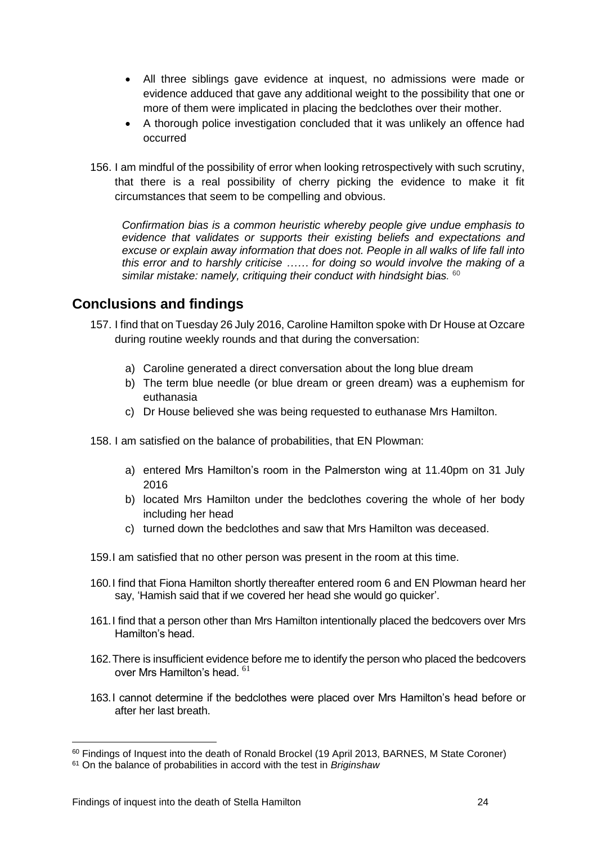- All three siblings gave evidence at inquest, no admissions were made or evidence adduced that gave any additional weight to the possibility that one or more of them were implicated in placing the bedclothes over their mother.
- A thorough police investigation concluded that it was unlikely an offence had occurred
- 156. I am mindful of the possibility of error when looking retrospectively with such scrutiny, that there is a real possibility of cherry picking the evidence to make it fit circumstances that seem to be compelling and obvious.

*Confirmation bias is a common heuristic whereby people give undue emphasis to evidence that validates or supports their existing beliefs and expectations and excuse or explain away information that does not. People in all walks of life fall into this error and to harshly criticise …… for doing so would involve the making of a similar mistake: namely, critiquing their conduct with hindsight bias.* 60

## <span id="page-26-0"></span>**Conclusions and findings**

- 157. I find that on Tuesday 26 July 2016, Caroline Hamilton spoke with Dr House at Ozcare during routine weekly rounds and that during the conversation:
	- a) Caroline generated a direct conversation about the long blue dream
	- b) The term blue needle (or blue dream or green dream) was a euphemism for euthanasia
	- c) Dr House believed she was being requested to euthanase Mrs Hamilton.

158. I am satisfied on the balance of probabilities, that EN Plowman:

- a) entered Mrs Hamilton's room in the Palmerston wing at 11.40pm on 31 July 2016
- b) located Mrs Hamilton under the bedclothes covering the whole of her body including her head
- c) turned down the bedclothes and saw that Mrs Hamilton was deceased.
- 159.I am satisfied that no other person was present in the room at this time.
- 160.I find that Fiona Hamilton shortly thereafter entered room 6 and EN Plowman heard her say, 'Hamish said that if we covered her head she would go quicker'.
- 161.I find that a person other than Mrs Hamilton intentionally placed the bedcovers over Mrs Hamilton's head.
- 162.There is insufficient evidence before me to identify the person who placed the bedcovers over Mrs Hamilton's head. <sup>61</sup>
- 163.I cannot determine if the bedclothes were placed over Mrs Hamilton's head before or after her last breath.

<sup>&</sup>lt;sup>60</sup> Findings of Inquest into the death of Ronald Brockel (19 April 2013, BARNES, M State Coroner)

<sup>61</sup> On the balance of probabilities in accord with the test in *Briginshaw*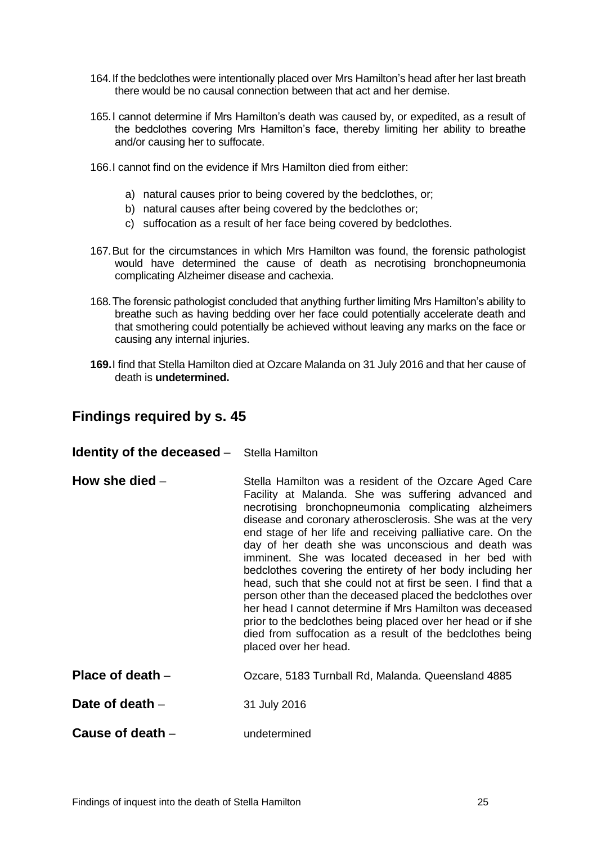- 164.If the bedclothes were intentionally placed over Mrs Hamilton's head after her last breath there would be no causal connection between that act and her demise.
- 165.I cannot determine if Mrs Hamilton's death was caused by, or expedited, as a result of the bedclothes covering Mrs Hamilton's face, thereby limiting her ability to breathe and/or causing her to suffocate.
- 166.I cannot find on the evidence if Mrs Hamilton died from either:
	- a) natural causes prior to being covered by the bedclothes, or;
	- b) natural causes after being covered by the bedclothes or;
	- c) suffocation as a result of her face being covered by bedclothes.
- 167.But for the circumstances in which Mrs Hamilton was found, the forensic pathologist would have determined the cause of death as necrotising bronchopneumonia complicating Alzheimer disease and cachexia.
- 168.The forensic pathologist concluded that anything further limiting Mrs Hamilton's ability to breathe such as having bedding over her face could potentially accelerate death and that smothering could potentially be achieved without leaving any marks on the face or causing any internal injuries.
- **169.**I find that Stella Hamilton died at Ozcare Malanda on 31 July 2016 and that her cause of death is **undetermined.**

## <span id="page-27-0"></span>**Findings required by s. 45**

#### <span id="page-27-1"></span>**Identity of the deceased –** Stella Hamilton

- <span id="page-27-2"></span>**How she died** – Stella Hamilton was a resident of the Ozcare Aged Care Facility at Malanda. She was suffering advanced and necrotising bronchopneumonia complicating alzheimers disease and coronary atherosclerosis. She was at the very end stage of her life and receiving palliative care. On the day of her death she was unconscious and death was imminent. She was located deceased in her bed with bedclothes covering the entirety of her body including her head, such that she could not at first be seen. I find that a person other than the deceased placed the bedclothes over her head I cannot determine if Mrs Hamilton was deceased prior to the bedclothes being placed over her head or if she died from suffocation as a result of the bedclothes being placed over her head.
- <span id="page-27-3"></span>**Place of death** – **Ozcare, 5183 Turnball Rd, Malanda. Queensland 4885**

<span id="page-27-4"></span>**Date of death – 31 July 2016** 

<span id="page-27-5"></span>**Cause of death – undetermined**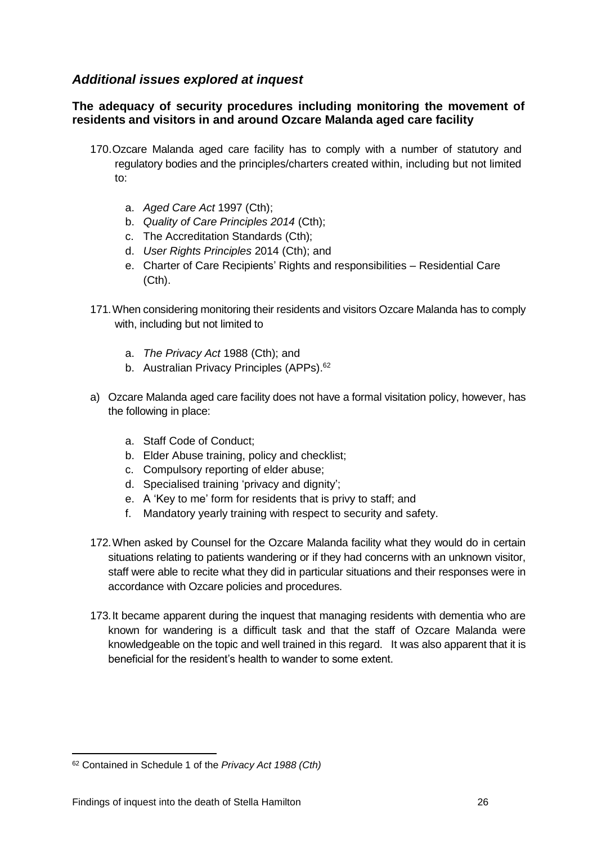## <span id="page-28-0"></span>*Additional issues explored at inquest*

#### <span id="page-28-1"></span>**The adequacy of security procedures including monitoring the movement of residents and visitors in and around Ozcare Malanda aged care facility**

- 170.Ozcare Malanda aged care facility has to comply with a number of statutory and regulatory bodies and the principles/charters created within, including but not limited to:
	- a. *Aged Care Act* 1997 (Cth);
	- b. *Quality of Care Principles 2014* (Cth);
	- c. The Accreditation Standards (Cth);
	- d. *User Rights Principles* 2014 (Cth); and
	- e. Charter of Care Recipients' Rights and responsibilities Residential Care (Cth).
- 171.When considering monitoring their residents and visitors Ozcare Malanda has to comply with, including but not limited to
	- a. *The Privacy Act* 1988 (Cth); and
	- b. Australian Privacy Principles (APPs).<sup>62</sup>
- a) Ozcare Malanda aged care facility does not have a formal visitation policy, however, has the following in place:
	- a. Staff Code of Conduct;
	- b. Elder Abuse training, policy and checklist;
	- c. Compulsory reporting of elder abuse;
	- d. Specialised training 'privacy and dignity';
	- e. A 'Key to me' form for residents that is privy to staff; and
	- f. Mandatory yearly training with respect to security and safety.
- 172.When asked by Counsel for the Ozcare Malanda facility what they would do in certain situations relating to patients wandering or if they had concerns with an unknown visitor, staff were able to recite what they did in particular situations and their responses were in accordance with Ozcare policies and procedures.
- 173.It became apparent during the inquest that managing residents with dementia who are known for wandering is a difficult task and that the staff of Ozcare Malanda were knowledgeable on the topic and well trained in this regard. It was also apparent that it is beneficial for the resident's health to wander to some extent.

<sup>62</sup> Contained in Schedule 1 of the *Privacy Act 1988 (Cth)*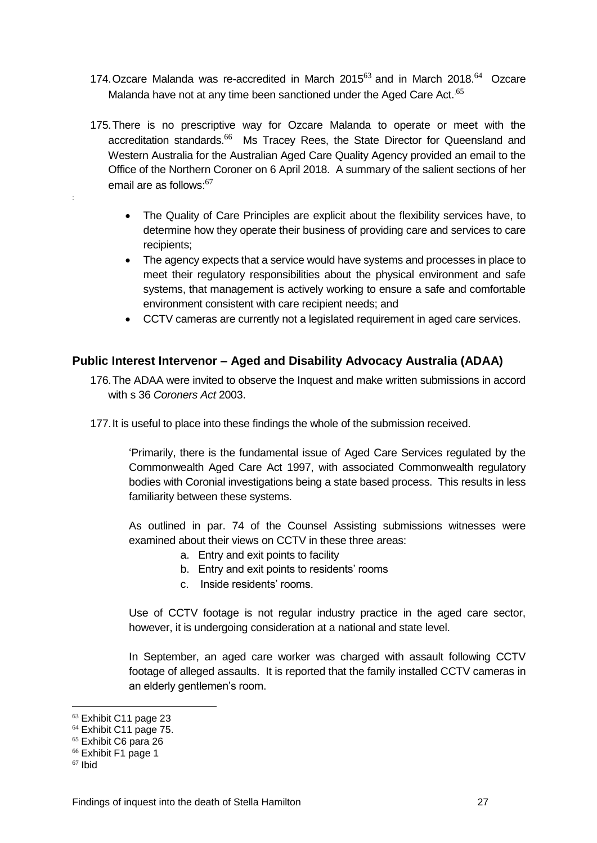- 174. Ozcare Malanda was re-accredited in March 2015 $^{63}$  and in March 2018. $^{64}$  Ozcare Malanda have not at any time been sanctioned under the Aged Care Act.<sup>65</sup>
- 175.There is no prescriptive way for Ozcare Malanda to operate or meet with the accreditation standards.<sup>66</sup> Ms Tracey Rees, the State Director for Queensland and Western Australia for the Australian Aged Care Quality Agency provided an email to the Office of the Northern Coroner on 6 April 2018. A summary of the salient sections of her email are as follows:<sup>67</sup>
	- The Quality of Care Principles are explicit about the flexibility services have, to determine how they operate their business of providing care and services to care recipients;
	- The agency expects that a service would have systems and processes in place to meet their regulatory responsibilities about the physical environment and safe systems, that management is actively working to ensure a safe and comfortable environment consistent with care recipient needs; and
	- CCTV cameras are currently not a legislated requirement in aged care services.

#### <span id="page-29-0"></span>**Public Interest Intervenor – Aged and Disability Advocacy Australia (ADAA)**

- 176.The ADAA were invited to observe the Inquest and make written submissions in accord with s 36 *Coroners Act* 2003.
- 177.It is useful to place into these findings the whole of the submission received.

'Primarily, there is the fundamental issue of Aged Care Services regulated by the Commonwealth Aged Care Act 1997, with associated Commonwealth regulatory bodies with Coronial investigations being a state based process. This results in less familiarity between these systems.

As outlined in par. 74 of the Counsel Assisting submissions witnesses were examined about their views on CCTV in these three areas:

- a. Entry and exit points to facility
- b. Entry and exit points to residents' rooms
- c. Inside residents' rooms.

Use of CCTV footage is not regular industry practice in the aged care sector, however, it is undergoing consideration at a national and state level.

In September, an aged care worker was charged with assault following CCTV footage of alleged assaults. It is reported that the family installed CCTV cameras in an elderly gentlemen's room.

<u>.</u>

:

<sup>63</sup> Exhibit C11 page 23

<sup>&</sup>lt;sup>64</sup> Exhibit C11 page 75.

<sup>65</sup> Exhibit C6 para 26

<sup>66</sup> Exhibit F1 page 1

 $67$  Ibid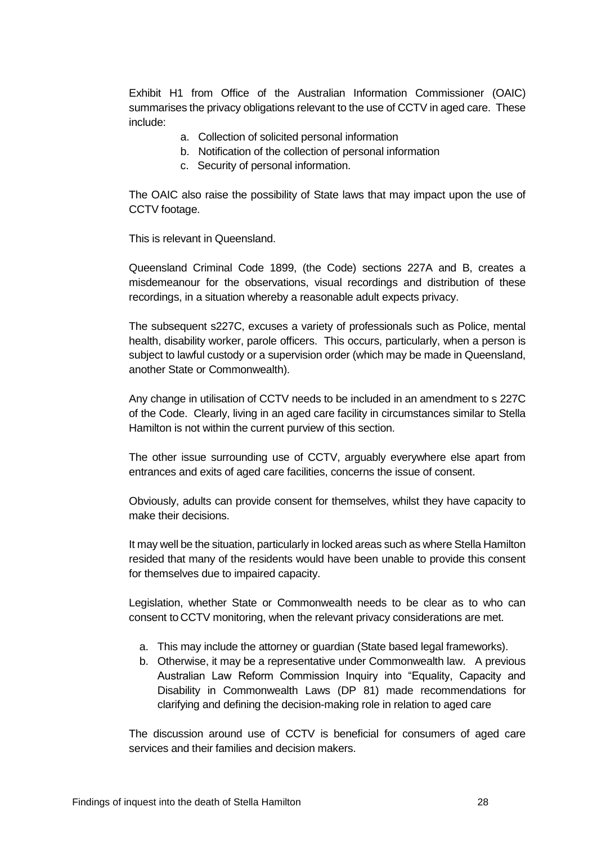Exhibit H1 from Office of the Australian Information Commissioner (OAIC) summarises the privacy obligations relevant to the use of CCTV in aged care. These include:

- a. Collection of solicited personal information
- b. Notification of the collection of personal information
- c. Security of personal information.

The OAIC also raise the possibility of State laws that may impact upon the use of CCTV footage.

This is relevant in Queensland.

Queensland Criminal Code 1899, (the Code) sections 227A and B, creates a misdemeanour for the observations, visual recordings and distribution of these recordings, in a situation whereby a reasonable adult expects privacy.

The subsequent s227C, excuses a variety of professionals such as Police, mental health, disability worker, parole officers. This occurs, particularly, when a person is subject to lawful custody or a supervision order (which may be made in Queensland, another State or Commonwealth).

Any change in utilisation of CCTV needs to be included in an amendment to s 227C of the Code. Clearly, living in an aged care facility in circumstances similar to Stella Hamilton is not within the current purview of this section.

The other issue surrounding use of CCTV, arguably everywhere else apart from entrances and exits of aged care facilities, concerns the issue of consent.

Obviously, adults can provide consent for themselves, whilst they have capacity to make their decisions.

It may well be the situation, particularly in locked areas such as where Stella Hamilton resided that many of the residents would have been unable to provide this consent for themselves due to impaired capacity.

Legislation, whether State or Commonwealth needs to be clear as to who can consent to CCTV monitoring, when the relevant privacy considerations are met.

- a. This may include the attorney or guardian (State based legal frameworks).
- b. Otherwise, it may be a representative under Commonwealth law. A previous Australian Law Reform Commission Inquiry into "Equality, Capacity and Disability in Commonwealth Laws (DP 81) made recommendations for clarifying and defining the decision-making role in relation to aged care

The discussion around use of CCTV is beneficial for consumers of aged care services and their families and decision makers.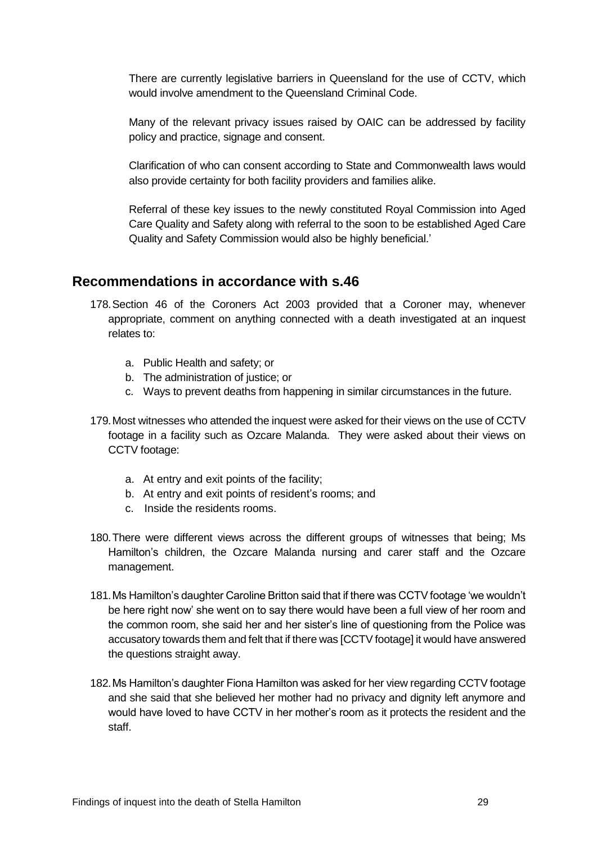There are currently legislative barriers in Queensland for the use of CCTV, which would involve amendment to the Queensland Criminal Code.

Many of the relevant privacy issues raised by OAIC can be addressed by facility policy and practice, signage and consent.

Clarification of who can consent according to State and Commonwealth laws would also provide certainty for both facility providers and families alike.

Referral of these key issues to the newly constituted Royal Commission into Aged Care Quality and Safety along with referral to the soon to be established Aged Care Quality and Safety Commission would also be highly beneficial.'

#### <span id="page-31-0"></span>**Recommendations in accordance with s.46**

- 178.Section 46 of the Coroners Act 2003 provided that a Coroner may, whenever appropriate, comment on anything connected with a death investigated at an inquest relates to:
	- a. Public Health and safety; or
	- b. The administration of justice; or
	- c. Ways to prevent deaths from happening in similar circumstances in the future.
- 179.Most witnesses who attended the inquest were asked for their views on the use of CCTV footage in a facility such as Ozcare Malanda. They were asked about their views on CCTV footage:
	- a. At entry and exit points of the facility;
	- b. At entry and exit points of resident's rooms; and
	- c. Inside the residents rooms.
- 180.There were different views across the different groups of witnesses that being; Ms Hamilton's children, the Ozcare Malanda nursing and carer staff and the Ozcare management.
- 181.Ms Hamilton's daughter Caroline Britton said that if there was CCTV footage 'we wouldn't be here right now' she went on to say there would have been a full view of her room and the common room, she said her and her sister's line of questioning from the Police was accusatory towards them and felt that if there was [CCTV footage] it would have answered the questions straight away.
- 182.Ms Hamilton's daughter Fiona Hamilton was asked for her view regarding CCTV footage and she said that she believed her mother had no privacy and dignity left anymore and would have loved to have CCTV in her mother's room as it protects the resident and the staff.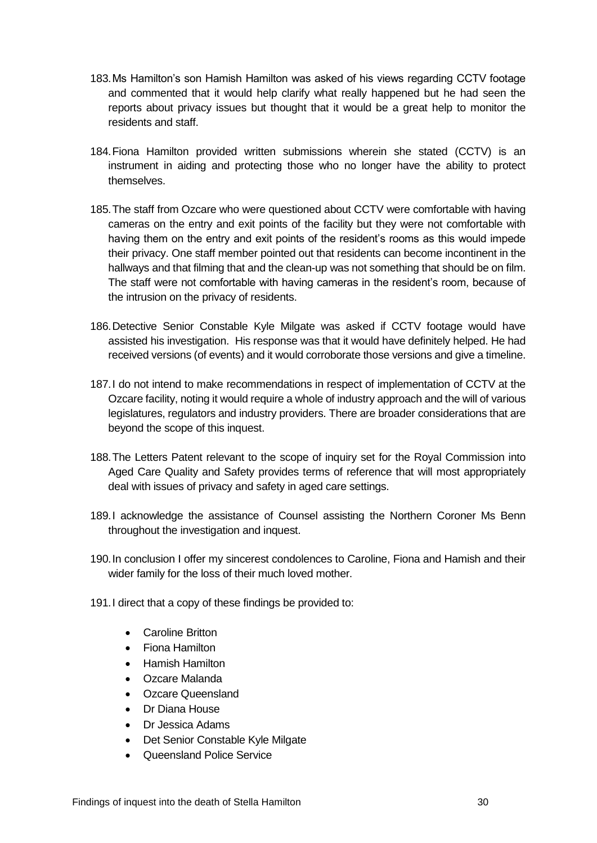- 183.Ms Hamilton's son Hamish Hamilton was asked of his views regarding CCTV footage and commented that it would help clarify what really happened but he had seen the reports about privacy issues but thought that it would be a great help to monitor the residents and staff.
- 184.Fiona Hamilton provided written submissions wherein she stated (CCTV) is an instrument in aiding and protecting those who no longer have the ability to protect themselves.
- 185.The staff from Ozcare who were questioned about CCTV were comfortable with having cameras on the entry and exit points of the facility but they were not comfortable with having them on the entry and exit points of the resident's rooms as this would impede their privacy. One staff member pointed out that residents can become incontinent in the hallways and that filming that and the clean-up was not something that should be on film. The staff were not comfortable with having cameras in the resident's room, because of the intrusion on the privacy of residents.
- 186.Detective Senior Constable Kyle Milgate was asked if CCTV footage would have assisted his investigation. His response was that it would have definitely helped. He had received versions (of events) and it would corroborate those versions and give a timeline.
- 187.I do not intend to make recommendations in respect of implementation of CCTV at the Ozcare facility, noting it would require a whole of industry approach and the will of various legislatures, regulators and industry providers. There are broader considerations that are beyond the scope of this inquest.
- 188.The Letters Patent relevant to the scope of inquiry set for the Royal Commission into Aged Care Quality and Safety provides terms of reference that will most appropriately deal with issues of privacy and safety in aged care settings.
- 189.I acknowledge the assistance of Counsel assisting the Northern Coroner Ms Benn throughout the investigation and inquest.
- 190.In conclusion I offer my sincerest condolences to Caroline, Fiona and Hamish and their wider family for the loss of their much loved mother.
- 191.I direct that a copy of these findings be provided to:
	- Caroline Britton
	- Fiona Hamilton
	- Hamish Hamilton
	- Ozcare Malanda
	- Ozcare Queensland
	- Dr Diana House
	- Dr Jessica Adams
	- Det Senior Constable Kyle Milgate
	- Queensland Police Service